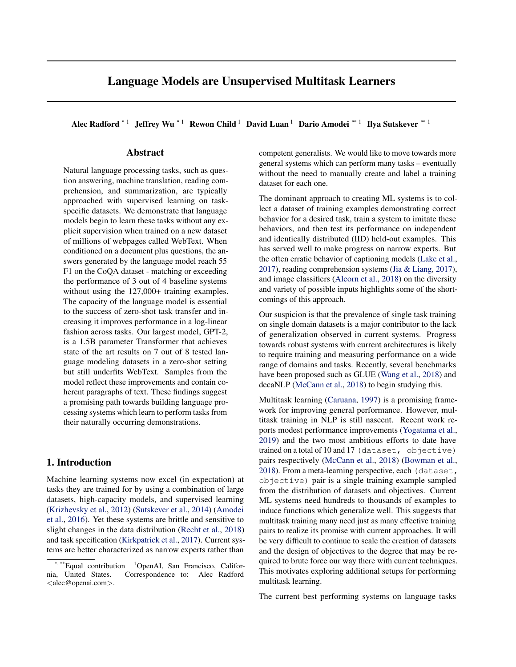# Language Models are Unsupervised Multitask Learners

Alec Radford  $^*$   $^1$  Jeffrey Wu  $^*$   $^1$  Rewon Child  $^1$  David Luan  $^1$  Dario Amodei  $^{**}$   $^1$  Ilya Sutskever  $^{**}$   $^1$ 

# Abstract

Natural language processing tasks, such as question answering, machine translation, reading comprehension, and summarization, are typically approached with supervised learning on taskspecific datasets. We demonstrate that language models begin to learn these tasks without any explicit supervision when trained on a new dataset of millions of webpages called WebText. When conditioned on a document plus questions, the answers generated by the language model reach 55 F1 on the CoQA dataset - matching or exceeding the performance of 3 out of 4 baseline systems without using the  $127,000+$  training examples. The capacity of the language model is essential to the success of zero-shot task transfer and increasing it improves performance in a log-linear fashion across tasks. Our largest model, GPT-2, is a 1.5B parameter Transformer that achieves state of the art results on 7 out of 8 tested language modeling datasets in a zero-shot setting but still underfits WebText. Samples from the model reflect these improvements and contain coherent paragraphs of text. These findings suggest a promising path towards building language processing systems which learn to perform tasks from their naturally occurring demonstrations.

# 1. Introduction

Machine learning systems now excel (in expectation) at tasks they are trained for by using a combination of large datasets, high-capacity models, and supervised learning (Krizhevsky et al., 2012) (Sutskever et al., 2014) (Amodei et al., 2016). Yet these systems are brittle and sensitive to slight changes in the data distribution (Recht et al., 2018) and task specification (Kirkpatrick et al., 2017). Current systems are better characterized as narrow experts rather than

competent generalists. We would like to move towards more general systems which can perform many tasks – eventually without the need to manually create and label a training dataset for each one.

The dominant approach to creating ML systems is to collect a dataset of training examples demonstrating correct behavior for a desired task, train a system to imitate these behaviors, and then test its performance on independent and identically distributed (IID) held-out examples. This has served well to make progress on narrow experts. But the often erratic behavior of captioning models (Lake et al., 2017), reading comprehension systems (Jia & Liang, 2017), and image classifiers (Alcorn et al., 2018) on the diversity and variety of possible inputs highlights some of the shortcomings of this approach.

Our suspicion is that the prevalence of single task training on single domain datasets is a major contributor to the lack of generalization observed in current systems. Progress towards robust systems with current architectures is likely to require training and measuring performance on a wide range of domains and tasks. Recently, several benchmarks have been proposed such as GLUE (Wang et al., 2018) and decaNLP (McCann et al., 2018) to begin studying this.

Multitask learning (Caruana, 1997) is a promising framework for improving general performance. However, multitask training in NLP is still nascent. Recent work reports modest performance improvements (Yogatama et al., 2019) and the two most ambitious efforts to date have trained on a total of 10 and 17 (dataset, objective) pairs respectively (McCann et al., 2018) (Bowman et al., 2018). From a meta-learning perspective, each (dataset, objective) pair is a single training example sampled from the distribution of datasets and objectives. Current ML systems need hundreds to thousands of examples to induce functions which generalize well. This suggests that multitask training many need just as many effective training pairs to realize its promise with current approaches. It will be very difficult to continue to scale the creation of datasets and the design of objectives to the degree that may be required to brute force our way there with current techniques. This motivates exploring additional setups for performing multitask learning.

The current best performing systems on language tasks

<sup>\*,\*\*\*</sup>Equal contribution <sup>1</sup>OpenAI, San Francisco, California, United States. Correspondence to: Alec Radford <alec@openai.com>.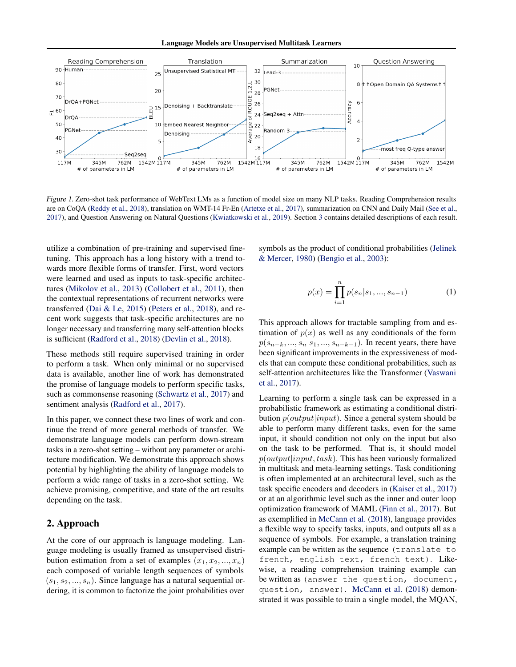Language Models are Unsupervised Multitask Learners



Figure 1. Zero-shot task performance of WebText LMs as a function of model size on many NLP tasks. Reading Comprehension results are on CoQA (Reddy et al., 2018), translation on WMT-14 Fr-En (Artetxe et al., 2017), summarization on CNN and Daily Mail (See et al., 2017), and Question Answering on Natural Questions (Kwiatkowski et al., 2019). Section 3 contains detailed descriptions of each result.

utilize a combination of pre-training and supervised finetuning. This approach has a long history with a trend towards more flexible forms of transfer. First, word vectors were learned and used as inputs to task-specific architectures (Mikolov et al., 2013) (Collobert et al., 2011), then the contextual representations of recurrent networks were transferred (Dai & Le, 2015) (Peters et al., 2018), and recent work suggests that task-specific architectures are no longer necessary and transferring many self-attention blocks is sufficient (Radford et al., 2018) (Devlin et al., 2018).

These methods still require supervised training in order to perform a task. When only minimal or no supervised data is available, another line of work has demonstrated the promise of language models to perform specific tasks, such as commonsense reasoning (Schwartz et al., 2017) and sentiment analysis (Radford et al., 2017).

In this paper, we connect these two lines of work and continue the trend of more general methods of transfer. We demonstrate language models can perform down-stream tasks in a zero-shot setting – without any parameter or architecture modification. We demonstrate this approach shows potential by highlighting the ability of language models to perform a wide range of tasks in a zero-shot setting. We achieve promising, competitive, and state of the art results depending on the task.

### 2. Approach

At the core of our approach is language modeling. Language modeling is usually framed as unsupervised distribution estimation from a set of examples  $(x_1, x_2, ..., x_n)$ each composed of variable length sequences of symbols  $(s_1, s_2, ..., s_n)$ . Since language has a natural sequential ordering, it is common to factorize the joint probabilities over

symbols as the product of conditional probabilities (Jelinek & Mercer, 1980) (Bengio et al., 2003):

$$
p(x) = \prod_{i=1}^{n} p(s_n | s_1, ..., s_{n-1})
$$
 (1)

This approach allows for tractable sampling from and estimation of  $p(x)$  as well as any conditionals of the form  $p(s_{n-k},...,s_n|s_1,...,s_{n-k-1})$ . In recent years, there have been significant improvements in the expressiveness of models that can compute these conditional probabilities, such as self-attention architectures like the Transformer (Vaswani et al., 2017).

Learning to perform a single task can be expressed in a probabilistic framework as estimating a conditional distribution  $p(output|input)$ . Since a general system should be able to perform many different tasks, even for the same input, it should condition not only on the input but also on the task to be performed. That is, it should model  $p(output|input, task)$ . This has been variously formalized in multitask and meta-learning settings. Task conditioning is often implemented at an architectural level, such as the task specific encoders and decoders in (Kaiser et al., 2017) or at an algorithmic level such as the inner and outer loop optimization framework of MAML (Finn et al., 2017). But as exemplified in McCann et al. (2018), language provides a flexible way to specify tasks, inputs, and outputs all as a sequence of symbols. For example, a translation training example can be written as the sequence (translate to french, english text, french text). Likewise, a reading comprehension training example can be written as (answer the question, document, question, answer). McCann et al. (2018) demonstrated it was possible to train a single model, the MQAN,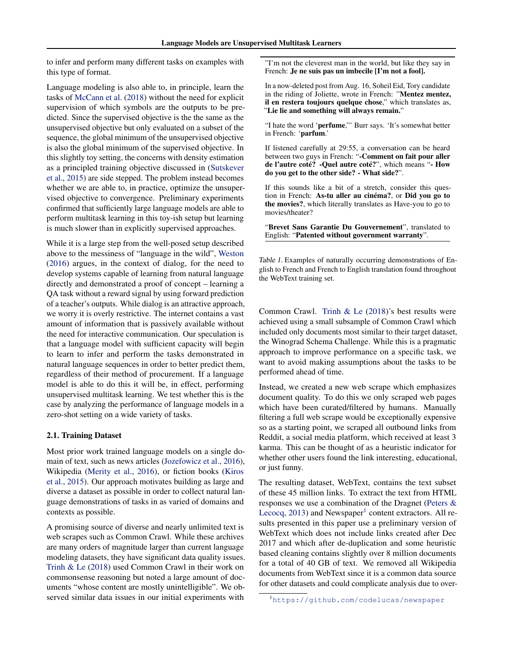to infer and perform many different tasks on examples with this type of format.

Language modeling is also able to, in principle, learn the tasks of McCann et al. (2018) without the need for explicit supervision of which symbols are the outputs to be predicted. Since the supervised objective is the the same as the unsupervised objective but only evaluated on a subset of the sequence, the global minimum of the unsupervised objective is also the global minimum of the supervised objective. In this slightly toy setting, the concerns with density estimation as a principled training objective discussed in (Sutskever et al., 2015) are side stepped. The problem instead becomes whether we are able to, in practice, optimize the unsupervised objective to convergence. Preliminary experiments confirmed that sufficiently large language models are able to perform multitask learning in this toy-ish setup but learning is much slower than in explicitly supervised approaches.

While it is a large step from the well-posed setup described above to the messiness of "language in the wild", Weston (2016) argues, in the context of dialog, for the need to develop systems capable of learning from natural language directly and demonstrated a proof of concept – learning a QA task without a reward signal by using forward prediction of a teacher's outputs. While dialog is an attractive approach, we worry it is overly restrictive. The internet contains a vast amount of information that is passively available without the need for interactive communication. Our speculation is that a language model with sufficient capacity will begin to learn to infer and perform the tasks demonstrated in natural language sequences in order to better predict them, regardless of their method of procurement. If a language model is able to do this it will be, in effect, performing unsupervised multitask learning. We test whether this is the case by analyzing the performance of language models in a zero-shot setting on a wide variety of tasks.

#### 2.1. Training Dataset

Most prior work trained language models on a single domain of text, such as news articles (Jozefowicz et al., 2016), Wikipedia (Merity et al., 2016), or fiction books (Kiros et al., 2015). Our approach motivates building as large and diverse a dataset as possible in order to collect natural language demonstrations of tasks in as varied of domains and contexts as possible.

A promising source of diverse and nearly unlimited text is web scrapes such as Common Crawl. While these archives are many orders of magnitude larger than current language modeling datasets, they have significant data quality issues. Trinh & Le (2018) used Common Crawl in their work on commonsense reasoning but noted a large amount of documents "whose content are mostly unintelligible". We observed similar data issues in our initial experiments with

"I'm not the cleverest man in the world, but like they say in French: Je ne suis pas un imbecile [I'm not a fool].

In a now-deleted post from Aug. 16, Soheil Eid, Tory candidate in the riding of Joliette, wrote in French: "Mentez mentez, il en restera toujours quelque chose," which translates as, "Lie lie and something will always remain."

"I hate the word 'perfume,"' Burr says. 'It's somewhat better in French: 'parfum.'

If listened carefully at 29:55, a conversation can be heard between two guys in French: "-Comment on fait pour aller de l'autre coté? - Quel autre coté?", which means "- How do you get to the other side? - What side?".

If this sounds like a bit of a stretch, consider this question in French: As-tu aller au cinéma?, or Did you go to the movies?, which literally translates as Have-you to go to movies/theater?

"Brevet Sans Garantie Du Gouvernement", translated to English: "Patented without government warranty".

Table 1. Examples of naturally occurring demonstrations of English to French and French to English translation found throughout the WebText training set.

Common Crawl. Trinh & Le (2018)'s best results were achieved using a small subsample of Common Crawl which included only documents most similar to their target dataset, the Winograd Schema Challenge. While this is a pragmatic approach to improve performance on a specific task, we want to avoid making assumptions about the tasks to be performed ahead of time.

Instead, we created a new web scrape which emphasizes document quality. To do this we only scraped web pages which have been curated/filtered by humans. Manually filtering a full web scrape would be exceptionally expensive so as a starting point, we scraped all outbound links from Reddit, a social media platform, which received at least 3 karma. This can be thought of as a heuristic indicator for whether other users found the link interesting, educational, or just funny.

The resulting dataset, WebText, contains the text subset of these 45 million links. To extract the text from HTML responses we use a combination of the Dragnet (Peters & Lecocq, 2013) and Newspaper<sup>1</sup> content extractors. All results presented in this paper use a preliminary version of WebText which does not include links created after Dec 2017 and which after de-duplication and some heuristic based cleaning contains slightly over 8 million documents for a total of 40 GB of text. We removed all Wikipedia documents from WebText since it is a common data source for other datasets and could complicate analysis due to over-

<sup>1</sup>https://github.com/codelucas/newspaper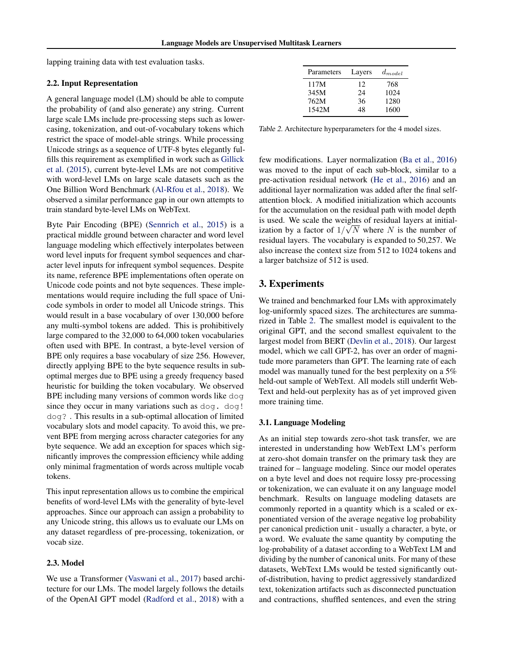lapping training data with test evaluation tasks.

#### 2.2. Input Representation

A general language model (LM) should be able to compute the probability of (and also generate) any string. Current large scale LMs include pre-processing steps such as lowercasing, tokenization, and out-of-vocabulary tokens which restrict the space of model-able strings. While processing Unicode strings as a sequence of UTF-8 bytes elegantly fulfills this requirement as exemplified in work such as Gillick et al. (2015), current byte-level LMs are not competitive with word-level LMs on large scale datasets such as the One Billion Word Benchmark (Al-Rfou et al., 2018). We observed a similar performance gap in our own attempts to train standard byte-level LMs on WebText.

Byte Pair Encoding (BPE) (Sennrich et al., 2015) is a practical middle ground between character and word level language modeling which effectively interpolates between word level inputs for frequent symbol sequences and character level inputs for infrequent symbol sequences. Despite its name, reference BPE implementations often operate on Unicode code points and not byte sequences. These implementations would require including the full space of Unicode symbols in order to model all Unicode strings. This would result in a base vocabulary of over 130,000 before any multi-symbol tokens are added. This is prohibitively large compared to the 32,000 to 64,000 token vocabularies often used with BPE. In contrast, a byte-level version of BPE only requires a base vocabulary of size 256. However, directly applying BPE to the byte sequence results in suboptimal merges due to BPE using a greedy frequency based heuristic for building the token vocabulary. We observed BPE including many versions of common words like dog since they occur in many variations such as dog. dog! dog? . This results in a sub-optimal allocation of limited vocabulary slots and model capacity. To avoid this, we prevent BPE from merging across character categories for any byte sequence. We add an exception for spaces which significantly improves the compression efficiency while adding only minimal fragmentation of words across multiple vocab tokens.

This input representation allows us to combine the empirical benefits of word-level LMs with the generality of byte-level approaches. Since our approach can assign a probability to any Unicode string, this allows us to evaluate our LMs on any dataset regardless of pre-processing, tokenization, or vocab size.

### 2.3. Model

We use a Transformer (Vaswani et al., 2017) based architecture for our LMs. The model largely follows the details of the OpenAI GPT model (Radford et al., 2018) with a

| Parameters | Layers | $d_{model}$ |
|------------|--------|-------------|
| 117M       | 12     | 768         |
| 345M       | 24     | 1024        |
| 762M       | 36     | 1280        |
| 1542M      | 48     | 1600        |

Table 2. Architecture hyperparameters for the 4 model sizes.

few modifications. Layer normalization (Ba et al., 2016) was moved to the input of each sub-block, similar to a pre-activation residual network (He et al., 2016) and an additional layer normalization was added after the final selfattention block. A modified initialization which accounts for the accumulation on the residual path with model depth is used. We scale the weights of residual layers at initialization by a factor of  $1/\sqrt{N}$  where N is the number of residual layers. The vocabulary is expanded to 50,257. We also increase the context size from 512 to 1024 tokens and a larger batchsize of 512 is used.

### 3. Experiments

We trained and benchmarked four LMs with approximately log-uniformly spaced sizes. The architectures are summarized in Table 2. The smallest model is equivalent to the original GPT, and the second smallest equivalent to the largest model from BERT (Devlin et al., 2018). Our largest model, which we call GPT-2, has over an order of magnitude more parameters than GPT. The learning rate of each model was manually tuned for the best perplexity on a 5% held-out sample of WebText. All models still underfit Web-Text and held-out perplexity has as of yet improved given more training time.

#### 3.1. Language Modeling

As an initial step towards zero-shot task transfer, we are interested in understanding how WebText LM's perform at zero-shot domain transfer on the primary task they are trained for – language modeling. Since our model operates on a byte level and does not require lossy pre-processing or tokenization, we can evaluate it on any language model benchmark. Results on language modeling datasets are commonly reported in a quantity which is a scaled or exponentiated version of the average negative log probability per canonical prediction unit - usually a character, a byte, or a word. We evaluate the same quantity by computing the log-probability of a dataset according to a WebText LM and dividing by the number of canonical units. For many of these datasets, WebText LMs would be tested significantly outof-distribution, having to predict aggressively standardized text, tokenization artifacts such as disconnected punctuation and contractions, shuffled sentences, and even the string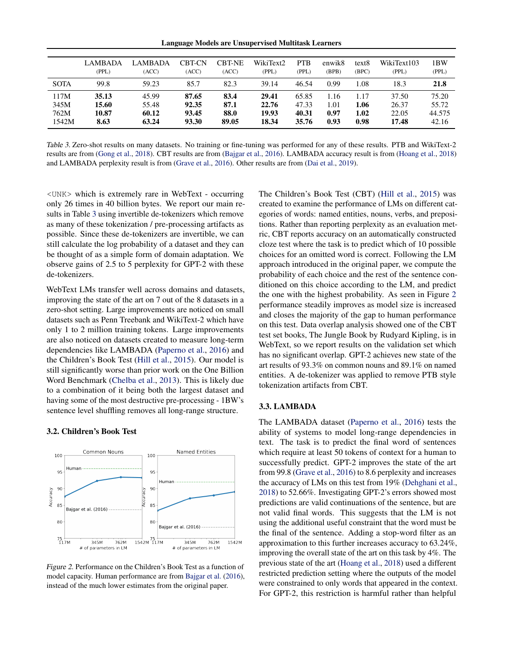Language Models are Unsupervised Multitask Learners

|             | <b>LAMBADA</b> | <b>LAMBADA</b> | <b>CBT-CN</b> | <b>CBT-NE</b> | WikiText2 | <b>PTB</b> | enwik8 | text8 | WikiText103 | 1BW    |
|-------------|----------------|----------------|---------------|---------------|-----------|------------|--------|-------|-------------|--------|
|             | (PPL)          | (ACC)          | (ACC)         | (ACC)         | (PPL)     | (PPL)      | (BPB)  | (BPC) | (PPL)       | (PPL)  |
| <b>SOTA</b> | 99.8           | 59.23          | 85.7          | 82.3          | 39.14     | 46.54      | 0.99   | 1.08  | 18.3        | 21.8   |
| 117M        | 35.13          | 45.99          | 87.65         | 83.4          | 29.41     | 65.85      | 1.16   | 1.17  | 37.50       | 75.20  |
| 345M        | 15.60          | 55.48          | 92.35         | 87.1          | 22.76     | 47.33      | 1.01   | 1.06  | 26.37       | 55.72  |
| 762M        | 10.87          | 60.12          | 93.45         | 88.0          | 19.93     | 40.31      | 0.97   | 1.02  | 22.05       | 44.575 |
| 1542M       | 8.63           | 63.24          | 93.30         | 89.05         | 18.34     | 35.76      | 0.93   | 0.98  | 17.48       | 42.16  |

Table 3. Zero-shot results on many datasets. No training or fine-tuning was performed for any of these results. PTB and WikiText-2 results are from (Gong et al., 2018). CBT results are from (Bajgar et al., 2016). LAMBADA accuracy result is from (Hoang et al., 2018) and LAMBADA perplexity result is from (Grave et al., 2016). Other results are from (Dai et al., 2019).

<UNK> which is extremely rare in WebText - occurring only 26 times in 40 billion bytes. We report our main results in Table 3 using invertible de-tokenizers which remove as many of these tokenization / pre-processing artifacts as possible. Since these de-tokenizers are invertible, we can still calculate the log probability of a dataset and they can be thought of as a simple form of domain adaptation. We observe gains of 2.5 to 5 perplexity for GPT-2 with these de-tokenizers.

WebText LMs transfer well across domains and datasets, improving the state of the art on 7 out of the 8 datasets in a zero-shot setting. Large improvements are noticed on small datasets such as Penn Treebank and WikiText-2 which have only 1 to 2 million training tokens. Large improvements are also noticed on datasets created to measure long-term dependencies like LAMBADA (Paperno et al., 2016) and the Children's Book Test (Hill et al., 2015). Our model is still significantly worse than prior work on the One Billion Word Benchmark (Chelba et al., 2013). This is likely due to a combination of it being both the largest dataset and having some of the most destructive pre-processing - 1BW's sentence level shuffling removes all long-range structure.

### 3.2. Children's Book Test



Figure 2. Performance on the Children's Book Test as a function of model capacity. Human performance are from Bajgar et al. (2016), instead of the much lower estimates from the original paper.

The Children's Book Test (CBT) (Hill et al., 2015) was created to examine the performance of LMs on different categories of words: named entities, nouns, verbs, and prepositions. Rather than reporting perplexity as an evaluation metric, CBT reports accuracy on an automatically constructed cloze test where the task is to predict which of 10 possible choices for an omitted word is correct. Following the LM approach introduced in the original paper, we compute the probability of each choice and the rest of the sentence conditioned on this choice according to the LM, and predict the one with the highest probability. As seen in Figure 2 performance steadily improves as model size is increased and closes the majority of the gap to human performance on this test. Data overlap analysis showed one of the CBT test set books, The Jungle Book by Rudyard Kipling, is in WebText, so we report results on the validation set which has no significant overlap. GPT-2 achieves new state of the art results of 93.3% on common nouns and 89.1% on named entities. A de-tokenizer was applied to remove PTB style tokenization artifacts from CBT.

#### 3.3. LAMBADA

The LAMBADA dataset (Paperno et al., 2016) tests the ability of systems to model long-range dependencies in text. The task is to predict the final word of sentences which require at least 50 tokens of context for a human to successfully predict. GPT-2 improves the state of the art from 99.8 (Grave et al., 2016) to 8.6 perplexity and increases the accuracy of LMs on this test from 19% (Dehghani et al., 2018) to 52.66%. Investigating GPT-2's errors showed most predictions are valid continuations of the sentence, but are not valid final words. This suggests that the LM is not using the additional useful constraint that the word must be the final of the sentence. Adding a stop-word filter as an approximation to this further increases accuracy to 63.24%, improving the overall state of the art on this task by 4%. The previous state of the art (Hoang et al., 2018) used a different restricted prediction setting where the outputs of the model were constrained to only words that appeared in the context. For GPT-2, this restriction is harmful rather than helpful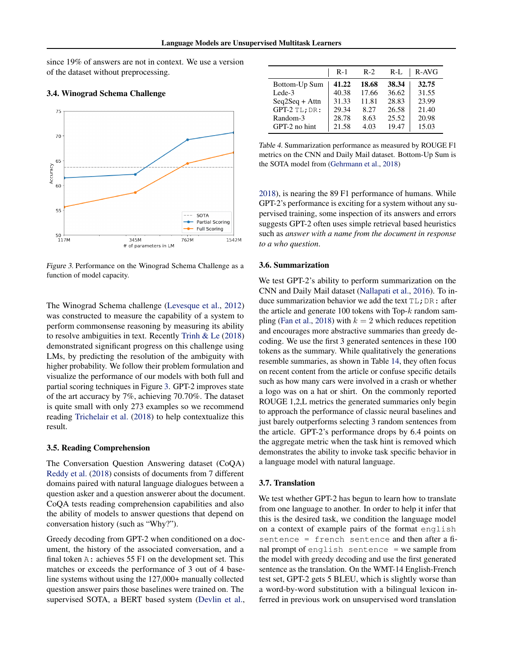since 19% of answers are not in context. We use a version of the dataset without preprocessing.

#### 3.4. Winograd Schema Challenge



Figure 3. Performance on the Winograd Schema Challenge as a function of model capacity.

The Winograd Schema challenge (Levesque et al., 2012) was constructed to measure the capability of a system to perform commonsense reasoning by measuring its ability to resolve ambiguities in text. Recently Trinh & Le (2018) demonstrated significant progress on this challenge using LMs, by predicting the resolution of the ambiguity with higher probability. We follow their problem formulation and visualize the performance of our models with both full and partial scoring techniques in Figure 3. GPT-2 improves state of the art accuracy by 7%, achieving 70.70%. The dataset is quite small with only 273 examples so we recommend reading Trichelair et al. (2018) to help contextualize this result.

#### 3.5. Reading Comprehension

The Conversation Question Answering dataset (CoQA) Reddy et al. (2018) consists of documents from 7 different domains paired with natural language dialogues between a question asker and a question answerer about the document. CoQA tests reading comprehension capabilities and also the ability of models to answer questions that depend on conversation history (such as "Why?").

Greedy decoding from GPT-2 when conditioned on a document, the history of the associated conversation, and a final token A: achieves 55 F1 on the development set. This matches or exceeds the performance of 3 out of 4 baseline systems without using the 127,000+ manually collected question answer pairs those baselines were trained on. The supervised SOTA, a BERT based system (Devlin et al.,

|                  | $R-1$ | $R-2$ | $R-I$ | R-AVG |
|------------------|-------|-------|-------|-------|
| Bottom-Up Sum    | 41.22 | 18.68 | 38.34 | 32.75 |
| Lede-3           | 40.38 | 17.66 | 36.62 | 31.55 |
| $Seq2Seq + Attn$ | 31.33 | 11.81 | 28.83 | 23.99 |
| GPT-2 TL; DR:    | 29.34 | 8.27  | 26.58 | 21.40 |
| Random-3         | 28.78 | 8.63  | 25.52 | 20.98 |
| GPT-2 no hint    | 21.58 | 4.03  | 19.47 | 15.03 |

Table 4. Summarization performance as measured by ROUGE F1 metrics on the CNN and Daily Mail dataset. Bottom-Up Sum is the SOTA model from (Gehrmann et al., 2018)

2018), is nearing the 89 F1 performance of humans. While GPT-2's performance is exciting for a system without any supervised training, some inspection of its answers and errors suggests GPT-2 often uses simple retrieval based heuristics such as *answer with a name from the document in response to a who question*.

### 3.6. Summarization

We test GPT-2's ability to perform summarization on the CNN and Daily Mail dataset (Nallapati et al., 2016). To induce summarization behavior we add the text  $TL$ ; DR: after the article and generate 100 tokens with  $Top-k$  random sampling (Fan et al., 2018) with  $k = 2$  which reduces repetition and encourages more abstractive summaries than greedy decoding. We use the first 3 generated sentences in these 100 tokens as the summary. While qualitatively the generations resemble summaries, as shown in Table 14, they often focus on recent content from the article or confuse specific details such as how many cars were involved in a crash or whether a logo was on a hat or shirt. On the commonly reported ROUGE 1,2,L metrics the generated summaries only begin to approach the performance of classic neural baselines and just barely outperforms selecting 3 random sentences from the article. GPT-2's performance drops by 6.4 points on the aggregate metric when the task hint is removed which demonstrates the ability to invoke task specific behavior in a language model with natural language.

### 3.7. Translation

We test whether GPT-2 has begun to learn how to translate from one language to another. In order to help it infer that this is the desired task, we condition the language model on a context of example pairs of the format english sentence = french sentence and then after a final prompt of english sentence = we sample from the model with greedy decoding and use the first generated sentence as the translation. On the WMT-14 English-French test set, GPT-2 gets 5 BLEU, which is slightly worse than a word-by-word substitution with a bilingual lexicon inferred in previous work on unsupervised word translation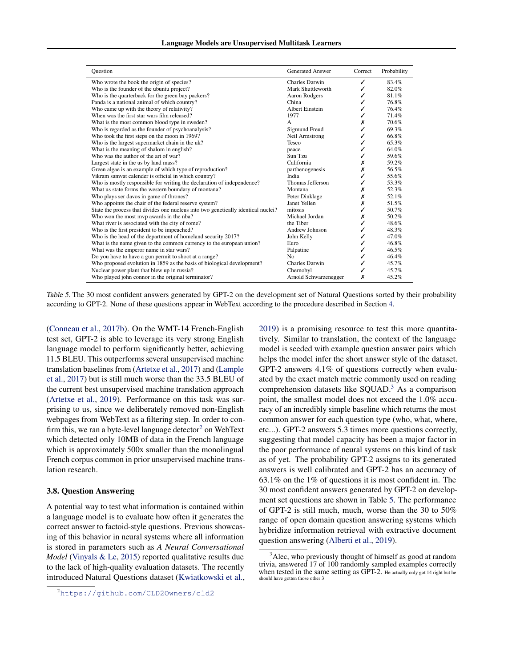| Ouestion                                                                          | <b>Generated Answer</b> | Correct | Probability |
|-----------------------------------------------------------------------------------|-------------------------|---------|-------------|
| Who wrote the book the origin of species?                                         | Charles Darwin          | ✓       | 83.4%       |
| Who is the founder of the ubuntu project?                                         | Mark Shuttleworth       | ✓       | 82.0%       |
| Who is the quarterback for the green bay packers?                                 | Aaron Rodgers           | ℐ       | 81.1%       |
| Panda is a national animal of which country?                                      | China                   |         | 76.8%       |
| Who came up with the theory of relativity?                                        | Albert Einstein         |         | 76.4%       |
| When was the first star wars film released?                                       | 1977                    |         | 71.4%       |
| What is the most common blood type in sweden?                                     | $\mathsf{A}$            | х       | 70.6%       |
| Who is regarded as the founder of psychoanalysis?                                 | Sigmund Freud           | ℐ       | 69.3%       |
| Who took the first steps on the moon in 1969?                                     | Neil Armstrong          |         | 66.8%       |
| Who is the largest supermarket chain in the uk?                                   | Tesco                   |         | 65.3%       |
| What is the meaning of shalom in english?                                         | peace                   |         | 64.0%       |
| Who was the author of the art of war?                                             | Sun Tzu                 |         | 59.6%       |
| Largest state in the us by land mass?                                             | California              | х       | 59.2%       |
| Green algae is an example of which type of reproduction?                          | parthenogenesis         | х       | 56.5%       |
| Vikram samvat calender is official in which country?                              | India                   |         | 55.6%       |
| Who is mostly responsible for writing the declaration of independence?            | Thomas Jefferson        |         | 53.3%       |
| What us state forms the western boundary of montana?                              | Montana                 | х       | 52.3%       |
| Who plays ser davos in game of thrones?                                           | Peter Dinklage          | х       | 52.1%       |
| Who appoints the chair of the federal reserve system?                             | Janet Yellen            | х       | 51.5%       |
| State the process that divides one nucleus into two genetically identical nuclei? | mitosis                 |         | 50.7%       |
| Who won the most myp awards in the nba?                                           | Michael Jordan          | х       | 50.2%       |
| What river is associated with the city of rome?                                   | the Tiber               |         | 48.6%       |
| Who is the first president to be impeached?                                       | Andrew Johnson          |         | 48.3%       |
| Who is the head of the department of homeland security 2017?                      | John Kelly              |         | 47.0%       |
| What is the name given to the common currency to the european union?              | Euro                    |         | 46.8%       |
| What was the emperor name in star wars?                                           | Palpatine               |         | 46.5%       |
| Do you have to have a gun permit to shoot at a range?                             | N <sub>o</sub>          | ✓       | 46.4%       |
| Who proposed evolution in 1859 as the basis of biological development?            | Charles Darwin          | ✓       | 45.7%       |
| Nuclear power plant that blew up in russia?                                       | Chernobyl               |         | 45.7%       |
| Who played john connor in the original terminator?                                | Arnold Schwarzenegger   | х       | 45.2%       |

Table 5. The 30 most confident answers generated by GPT-2 on the development set of Natural Questions sorted by their probability according to GPT-2. None of these questions appear in WebText according to the procedure described in Section 4.

(Conneau et al., 2017b). On the WMT-14 French-English test set, GPT-2 is able to leverage its very strong English language model to perform significantly better, achieving 11.5 BLEU. This outperforms several unsupervised machine translation baselines from (Artetxe et al., 2017) and (Lample et al., 2017) but is still much worse than the 33.5 BLEU of the current best unsupervised machine translation approach (Artetxe et al., 2019). Performance on this task was surprising to us, since we deliberately removed non-English webpages from WebText as a filtering step. In order to confirm this, we ran a byte-level language detector<sup>2</sup> on WebText which detected only 10MB of data in the French language which is approximately 500x smaller than the monolingual French corpus common in prior unsupervised machine translation research.

#### 3.8. Question Answering

A potential way to test what information is contained within a language model is to evaluate how often it generates the correct answer to factoid-style questions. Previous showcasing of this behavior in neural systems where all information is stored in parameters such as *A Neural Conversational Model* (Vinyals & Le, 2015) reported qualitative results due to the lack of high-quality evaluation datasets. The recently introduced Natural Questions dataset (Kwiatkowski et al., 2019) is a promising resource to test this more quantitatively. Similar to translation, the context of the language model is seeded with example question answer pairs which helps the model infer the short answer style of the dataset. GPT-2 answers 4.1% of questions correctly when evaluated by the exact match metric commonly used on reading comprehension datasets like SQUAD.<sup>3</sup> As a comparison point, the smallest model does not exceed the 1.0% accuracy of an incredibly simple baseline which returns the most common answer for each question type (who, what, where, etc...). GPT-2 answers 5.3 times more questions correctly, suggesting that model capacity has been a major factor in the poor performance of neural systems on this kind of task as of yet. The probability GPT-2 assigns to its generated answers is well calibrated and GPT-2 has an accuracy of 63.1% on the 1% of questions it is most confident in. The 30 most confident answers generated by GPT-2 on development set questions are shown in Table 5. The performance of GPT-2 is still much, much, worse than the 30 to 50% range of open domain question answering systems which hybridize information retrieval with extractive document question answering (Alberti et al., 2019).

<sup>2</sup>https://github.com/CLD2Owners/cld2

 $3$ Alec, who previously thought of himself as good at random trivia, answered 17 of 100 randomly sampled examples correctly when tested in the same setting as GPT-2. He actually only got 14 right but he should have gotten those other 3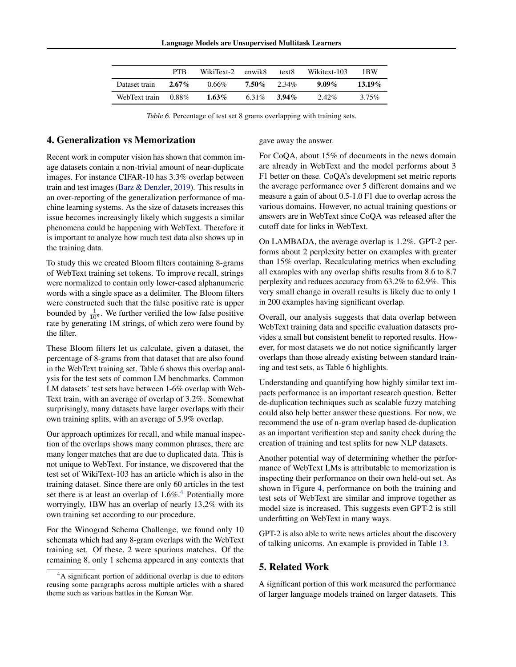|               | PT <sub>R</sub> | WikiText-2 | enwik8   | text8    | Wikitext-103 | 1RW       |
|---------------|-----------------|------------|----------|----------|--------------|-----------|
| Dataset train | $2.67\%$        | 0.66%      | $7.50\%$ | $2.34\%$ | $9.09\%$     | $13.19\%$ |
| WebText train | $0.88\%$        | $1.63\%$   | 6.31\%   | $3.94\%$ | $2.42\%$     | $3.75\%$  |

Table 6. Percentage of test set 8 grams overlapping with training sets.

### 4. Generalization vs Memorization

Recent work in computer vision has shown that common image datasets contain a non-trivial amount of near-duplicate images. For instance CIFAR-10 has 3.3% overlap between train and test images (Barz & Denzler, 2019). This results in an over-reporting of the generalization performance of machine learning systems. As the size of datasets increases this issue becomes increasingly likely which suggests a similar phenomena could be happening with WebText. Therefore it is important to analyze how much test data also shows up in the training data.

To study this we created Bloom filters containing 8-grams of WebText training set tokens. To improve recall, strings were normalized to contain only lower-cased alphanumeric words with a single space as a delimiter. The Bloom filters were constructed such that the false positive rate is upper bounded by  $\frac{1}{10^8}$ . We further verified the low false positive rate by generating 1M strings, of which zero were found by the filter.

These Bloom filters let us calculate, given a dataset, the percentage of 8-grams from that dataset that are also found in the WebText training set. Table 6 shows this overlap analysis for the test sets of common LM benchmarks. Common LM datasets' test sets have between 1-6% overlap with Web-Text train, with an average of overlap of 3.2%. Somewhat surprisingly, many datasets have larger overlaps with their own training splits, with an average of 5.9% overlap.

Our approach optimizes for recall, and while manual inspection of the overlaps shows many common phrases, there are many longer matches that are due to duplicated data. This is not unique to WebText. For instance, we discovered that the test set of WikiText-103 has an article which is also in the training dataset. Since there are only 60 articles in the test set there is at least an overlap of  $1.6\%$ <sup>4</sup>. Potentially more worryingly, 1BW has an overlap of nearly 13.2% with its own training set according to our procedure.

For the Winograd Schema Challenge, we found only 10 schemata which had any 8-gram overlaps with the WebText training set. Of these, 2 were spurious matches. Of the remaining 8, only 1 schema appeared in any contexts that gave away the answer.

For CoQA, about 15% of documents in the news domain are already in WebText and the model performs about 3 F1 better on these. CoQA's development set metric reports the average performance over 5 different domains and we measure a gain of about 0.5-1.0 F1 due to overlap across the various domains. However, no actual training questions or answers are in WebText since CoQA was released after the cutoff date for links in WebText.

On LAMBADA, the average overlap is 1.2%. GPT-2 performs about 2 perplexity better on examples with greater than 15% overlap. Recalculating metrics when excluding all examples with any overlap shifts results from 8.6 to 8.7 perplexity and reduces accuracy from 63.2% to 62.9%. This very small change in overall results is likely due to only 1 in 200 examples having significant overlap.

Overall, our analysis suggests that data overlap between WebText training data and specific evaluation datasets provides a small but consistent benefit to reported results. However, for most datasets we do not notice significantly larger overlaps than those already existing between standard training and test sets, as Table 6 highlights.

Understanding and quantifying how highly similar text impacts performance is an important research question. Better de-duplication techniques such as scalable fuzzy matching could also help better answer these questions. For now, we recommend the use of n-gram overlap based de-duplication as an important verification step and sanity check during the creation of training and test splits for new NLP datasets.

Another potential way of determining whether the performance of WebText LMs is attributable to memorization is inspecting their performance on their own held-out set. As shown in Figure 4, performance on both the training and test sets of WebText are similar and improve together as model size is increased. This suggests even GPT-2 is still underfitting on WebText in many ways.

GPT-2 is also able to write news articles about the discovery of talking unicorns. An example is provided in Table 13.

# 5. Related Work

A significant portion of this work measured the performance of larger language models trained on larger datasets. This

<sup>&</sup>lt;sup>4</sup>A significant portion of additional overlap is due to editors reusing some paragraphs across multiple articles with a shared theme such as various battles in the Korean War.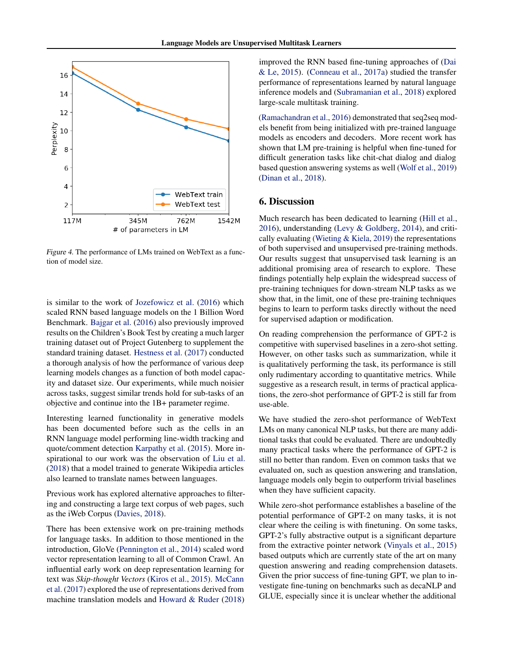

Figure 4. The performance of LMs trained on WebText as a function of model size.

is similar to the work of Jozefowicz et al. (2016) which scaled RNN based language models on the 1 Billion Word Benchmark. Bajgar et al. (2016) also previously improved results on the Children's Book Test by creating a much larger training dataset out of Project Gutenberg to supplement the standard training dataset. Hestness et al. (2017) conducted a thorough analysis of how the performance of various deep learning models changes as a function of both model capacity and dataset size. Our experiments, while much noisier across tasks, suggest similar trends hold for sub-tasks of an objective and continue into the 1B+ parameter regime.

Interesting learned functionality in generative models has been documented before such as the cells in an RNN language model performing line-width tracking and quote/comment detection Karpathy et al. (2015). More inspirational to our work was the observation of Liu et al. (2018) that a model trained to generate Wikipedia articles also learned to translate names between languages.

Previous work has explored alternative approaches to filtering and constructing a large text corpus of web pages, such as the iWeb Corpus (Davies, 2018).

There has been extensive work on pre-training methods for language tasks. In addition to those mentioned in the introduction, GloVe (Pennington et al., 2014) scaled word vector representation learning to all of Common Crawl. An influential early work on deep representation learning for text was *Skip-thought Vectors* (Kiros et al., 2015). McCann et al. (2017) explored the use of representations derived from machine translation models and Howard & Ruder (2018) improved the RNN based fine-tuning approaches of (Dai & Le, 2015). (Conneau et al., 2017a) studied the transfer performance of representations learned by natural language inference models and (Subramanian et al., 2018) explored large-scale multitask training.

(Ramachandran et al., 2016) demonstrated that seq2seq models benefit from being initialized with pre-trained language models as encoders and decoders. More recent work has shown that LM pre-training is helpful when fine-tuned for difficult generation tasks like chit-chat dialog and dialog based question answering systems as well (Wolf et al., 2019) (Dinan et al., 2018).

# 6. Discussion

Much research has been dedicated to learning (Hill et al., 2016), understanding (Levy & Goldberg, 2014), and critically evaluating (Wieting & Kiela, 2019) the representations of both supervised and unsupervised pre-training methods. Our results suggest that unsupervised task learning is an additional promising area of research to explore. These findings potentially help explain the widespread success of pre-training techniques for down-stream NLP tasks as we show that, in the limit, one of these pre-training techniques begins to learn to perform tasks directly without the need for supervised adaption or modification.

On reading comprehension the performance of GPT-2 is competitive with supervised baselines in a zero-shot setting. However, on other tasks such as summarization, while it is qualitatively performing the task, its performance is still only rudimentary according to quantitative metrics. While suggestive as a research result, in terms of practical applications, the zero-shot performance of GPT-2 is still far from use-able.

We have studied the zero-shot performance of WebText LMs on many canonical NLP tasks, but there are many additional tasks that could be evaluated. There are undoubtedly many practical tasks where the performance of GPT-2 is still no better than random. Even on common tasks that we evaluated on, such as question answering and translation, language models only begin to outperform trivial baselines when they have sufficient capacity.

While zero-shot performance establishes a baseline of the potential performance of GPT-2 on many tasks, it is not clear where the ceiling is with finetuning. On some tasks, GPT-2's fully abstractive output is a significant departure from the extractive pointer network (Vinyals et al., 2015) based outputs which are currently state of the art on many question answering and reading comprehension datasets. Given the prior success of fine-tuning GPT, we plan to investigate fine-tuning on benchmarks such as decaNLP and GLUE, especially since it is unclear whether the additional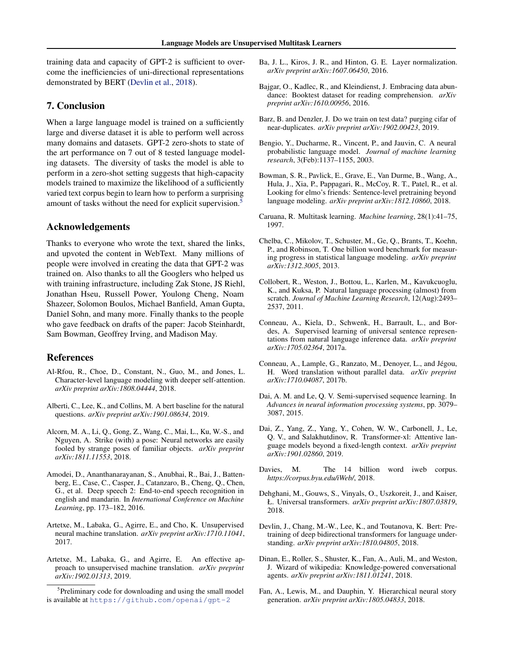training data and capacity of GPT-2 is sufficient to overcome the inefficiencies of uni-directional representations demonstrated by BERT (Devlin et al., 2018).

# 7. Conclusion

When a large language model is trained on a sufficiently large and diverse dataset it is able to perform well across many domains and datasets. GPT-2 zero-shots to state of the art performance on 7 out of 8 tested language modeling datasets. The diversity of tasks the model is able to perform in a zero-shot setting suggests that high-capacity models trained to maximize the likelihood of a sufficiently varied text corpus begin to learn how to perform a surprising amount of tasks without the need for explicit supervision.<sup>5</sup>

# Acknowledgements

Thanks to everyone who wrote the text, shared the links, and upvoted the content in WebText. Many millions of people were involved in creating the data that GPT-2 was trained on. Also thanks to all the Googlers who helped us with training infrastructure, including Zak Stone, JS Riehl, Jonathan Hseu, Russell Power, Youlong Cheng, Noam Shazeer, Solomon Boulos, Michael Banfield, Aman Gupta, Daniel Sohn, and many more. Finally thanks to the people who gave feedback on drafts of the paper: Jacob Steinhardt, Sam Bowman, Geoffrey Irving, and Madison May.

### References

- Al-Rfou, R., Choe, D., Constant, N., Guo, M., and Jones, L. Character-level language modeling with deeper self-attention. *arXiv preprint arXiv:1808.04444*, 2018.
- Alberti, C., Lee, K., and Collins, M. A bert baseline for the natural questions. *arXiv preprint arXiv:1901.08634*, 2019.
- Alcorn, M. A., Li, Q., Gong, Z., Wang, C., Mai, L., Ku, W.-S., and Nguyen, A. Strike (with) a pose: Neural networks are easily fooled by strange poses of familiar objects. *arXiv preprint arXiv:1811.11553*, 2018.
- Amodei, D., Ananthanarayanan, S., Anubhai, R., Bai, J., Battenberg, E., Case, C., Casper, J., Catanzaro, B., Cheng, Q., Chen, G., et al. Deep speech 2: End-to-end speech recognition in english and mandarin. In *International Conference on Machine Learning*, pp. 173–182, 2016.
- Artetxe, M., Labaka, G., Agirre, E., and Cho, K. Unsupervised neural machine translation. *arXiv preprint arXiv:1710.11041*, 2017.
- Artetxe, M., Labaka, G., and Agirre, E. An effective approach to unsupervised machine translation. *arXiv preprint arXiv:1902.01313*, 2019.
- Ba, J. L., Kiros, J. R., and Hinton, G. E. Layer normalization. *arXiv preprint arXiv:1607.06450*, 2016.
- Bajgar, O., Kadlec, R., and Kleindienst, J. Embracing data abundance: Booktest dataset for reading comprehension. *arXiv preprint arXiv:1610.00956*, 2016.
- Barz, B. and Denzler, J. Do we train on test data? purging cifar of near-duplicates. *arXiv preprint arXiv:1902.00423*, 2019.
- Bengio, Y., Ducharme, R., Vincent, P., and Jauvin, C. A neural probabilistic language model. *Journal of machine learning research*, 3(Feb):1137–1155, 2003.
- Bowman, S. R., Pavlick, E., Grave, E., Van Durme, B., Wang, A., Hula, J., Xia, P., Pappagari, R., McCoy, R. T., Patel, R., et al. Looking for elmo's friends: Sentence-level pretraining beyond language modeling. *arXiv preprint arXiv:1812.10860*, 2018.
- Caruana, R. Multitask learning. *Machine learning*, 28(1):41–75, 1997.
- Chelba, C., Mikolov, T., Schuster, M., Ge, Q., Brants, T., Koehn, P., and Robinson, T. One billion word benchmark for measuring progress in statistical language modeling. *arXiv preprint arXiv:1312.3005*, 2013.
- Collobert, R., Weston, J., Bottou, L., Karlen, M., Kavukcuoglu, K., and Kuksa, P. Natural language processing (almost) from scratch. *Journal of Machine Learning Research*, 12(Aug):2493– 2537, 2011.
- Conneau, A., Kiela, D., Schwenk, H., Barrault, L., and Bordes, A. Supervised learning of universal sentence representations from natural language inference data. *arXiv preprint arXiv:1705.02364*, 2017a.
- Conneau, A., Lample, G., Ranzato, M., Denoyer, L., and Jégou, H. Word translation without parallel data. *arXiv preprint arXiv:1710.04087*, 2017b.
- Dai, A. M. and Le, Q. V. Semi-supervised sequence learning. In *Advances in neural information processing systems*, pp. 3079– 3087, 2015.
- Dai, Z., Yang, Z., Yang, Y., Cohen, W. W., Carbonell, J., Le, Q. V., and Salakhutdinov, R. Transformer-xl: Attentive language models beyond a fixed-length context. *arXiv preprint arXiv:1901.02860*, 2019.
- Davies, M. The 14 billion word iweb corpus. *https://corpus.byu.edu/iWeb/*, 2018.
- Dehghani, M., Gouws, S., Vinyals, O., Uszkoreit, J., and Kaiser, Ł. Universal transformers. *arXiv preprint arXiv:1807.03819*, 2018.
- Devlin, J., Chang, M.-W., Lee, K., and Toutanova, K. Bert: Pretraining of deep bidirectional transformers for language understanding. *arXiv preprint arXiv:1810.04805*, 2018.
- Dinan, E., Roller, S., Shuster, K., Fan, A., Auli, M., and Weston, J. Wizard of wikipedia: Knowledge-powered conversational agents. *arXiv preprint arXiv:1811.01241*, 2018.
- Fan, A., Lewis, M., and Dauphin, Y. Hierarchical neural story generation. *arXiv preprint arXiv:1805.04833*, 2018.

<sup>&</sup>lt;sup>5</sup>Preliminary code for downloading and using the small model is available at https://github.com/openai/gpt-2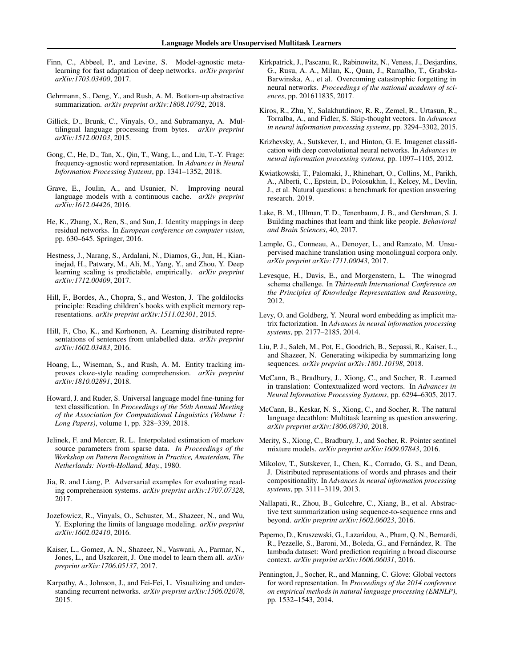- Finn, C., Abbeel, P., and Levine, S. Model-agnostic metalearning for fast adaptation of deep networks. *arXiv preprint arXiv:1703.03400*, 2017.
- Gehrmann, S., Deng, Y., and Rush, A. M. Bottom-up abstractive summarization. *arXiv preprint arXiv:1808.10792*, 2018.
- Gillick, D., Brunk, C., Vinyals, O., and Subramanya, A. Multilingual language processing from bytes. *arXiv preprint arXiv:1512.00103*, 2015.
- Gong, C., He, D., Tan, X., Qin, T., Wang, L., and Liu, T.-Y. Frage: frequency-agnostic word representation. In *Advances in Neural Information Processing Systems*, pp. 1341–1352, 2018.
- Grave, E., Joulin, A., and Usunier, N. Improving neural language models with a continuous cache. *arXiv preprint arXiv:1612.04426*, 2016.
- He, K., Zhang, X., Ren, S., and Sun, J. Identity mappings in deep residual networks. In *European conference on computer vision*, pp. 630–645. Springer, 2016.
- Hestness, J., Narang, S., Ardalani, N., Diamos, G., Jun, H., Kianinejad, H., Patwary, M., Ali, M., Yang, Y., and Zhou, Y. Deep learning scaling is predictable, empirically. *arXiv preprint arXiv:1712.00409*, 2017.
- Hill, F., Bordes, A., Chopra, S., and Weston, J. The goldilocks principle: Reading children's books with explicit memory representations. *arXiv preprint arXiv:1511.02301*, 2015.
- Hill, F., Cho, K., and Korhonen, A. Learning distributed representations of sentences from unlabelled data. *arXiv preprint arXiv:1602.03483*, 2016.
- Hoang, L., Wiseman, S., and Rush, A. M. Entity tracking improves cloze-style reading comprehension. *arXiv preprint arXiv:1810.02891*, 2018.
- Howard, J. and Ruder, S. Universal language model fine-tuning for text classification. In *Proceedings of the 56th Annual Meeting of the Association for Computational Linguistics (Volume 1: Long Papers)*, volume 1, pp. 328–339, 2018.
- Jelinek, F. and Mercer, R. L. Interpolated estimation of markov source parameters from sparse data. *In Proceedings of the Workshop on Pattern Recognition in Practice, Amsterdam, The Netherlands: North-Holland, May.*, 1980.
- Jia, R. and Liang, P. Adversarial examples for evaluating reading comprehension systems. *arXiv preprint arXiv:1707.07328*, 2017.
- Jozefowicz, R., Vinyals, O., Schuster, M., Shazeer, N., and Wu, Y. Exploring the limits of language modeling. *arXiv preprint arXiv:1602.02410*, 2016.
- Kaiser, L., Gomez, A. N., Shazeer, N., Vaswani, A., Parmar, N., Jones, L., and Uszkoreit, J. One model to learn them all. *arXiv preprint arXiv:1706.05137*, 2017.
- Karpathy, A., Johnson, J., and Fei-Fei, L. Visualizing and understanding recurrent networks. *arXiv preprint arXiv:1506.02078*, 2015.
- Kirkpatrick, J., Pascanu, R., Rabinowitz, N., Veness, J., Desjardins, G., Rusu, A. A., Milan, K., Quan, J., Ramalho, T., Grabska-Barwinska, A., et al. Overcoming catastrophic forgetting in neural networks. *Proceedings of the national academy of sciences*, pp. 201611835, 2017.
- Kiros, R., Zhu, Y., Salakhutdinov, R. R., Zemel, R., Urtasun, R., Torralba, A., and Fidler, S. Skip-thought vectors. In *Advances in neural information processing systems*, pp. 3294–3302, 2015.
- Krizhevsky, A., Sutskever, I., and Hinton, G. E. Imagenet classification with deep convolutional neural networks. In *Advances in neural information processing systems*, pp. 1097–1105, 2012.
- Kwiatkowski, T., Palomaki, J., Rhinehart, O., Collins, M., Parikh, A., Alberti, C., Epstein, D., Polosukhin, I., Kelcey, M., Devlin, J., et al. Natural questions: a benchmark for question answering research. 2019.
- Lake, B. M., Ullman, T. D., Tenenbaum, J. B., and Gershman, S. J. Building machines that learn and think like people. *Behavioral and Brain Sciences*, 40, 2017.
- Lample, G., Conneau, A., Denoyer, L., and Ranzato, M. Unsupervised machine translation using monolingual corpora only. *arXiv preprint arXiv:1711.00043*, 2017.
- Levesque, H., Davis, E., and Morgenstern, L. The winograd schema challenge. In *Thirteenth International Conference on the Principles of Knowledge Representation and Reasoning*, 2012.
- Levy, O. and Goldberg, Y. Neural word embedding as implicit matrix factorization. In *Advances in neural information processing systems*, pp. 2177–2185, 2014.
- Liu, P. J., Saleh, M., Pot, E., Goodrich, B., Sepassi, R., Kaiser, L., and Shazeer, N. Generating wikipedia by summarizing long sequences. *arXiv preprint arXiv:1801.10198*, 2018.
- McCann, B., Bradbury, J., Xiong, C., and Socher, R. Learned in translation: Contextualized word vectors. In *Advances in Neural Information Processing Systems*, pp. 6294–6305, 2017.
- McCann, B., Keskar, N. S., Xiong, C., and Socher, R. The natural language decathlon: Multitask learning as question answering. *arXiv preprint arXiv:1806.08730*, 2018.
- Merity, S., Xiong, C., Bradbury, J., and Socher, R. Pointer sentinel mixture models. *arXiv preprint arXiv:1609.07843*, 2016.
- Mikolov, T., Sutskever, I., Chen, K., Corrado, G. S., and Dean, J. Distributed representations of words and phrases and their compositionality. In *Advances in neural information processing systems*, pp. 3111–3119, 2013.
- Nallapati, R., Zhou, B., Gulcehre, C., Xiang, B., et al. Abstractive text summarization using sequence-to-sequence rnns and beyond. *arXiv preprint arXiv:1602.06023*, 2016.
- Paperno, D., Kruszewski, G., Lazaridou, A., Pham, Q. N., Bernardi, R., Pezzelle, S., Baroni, M., Boleda, G., and Fernández, R. The lambada dataset: Word prediction requiring a broad discourse context. *arXiv preprint arXiv:1606.06031*, 2016.
- Pennington, J., Socher, R., and Manning, C. Glove: Global vectors for word representation. In *Proceedings of the 2014 conference on empirical methods in natural language processing (EMNLP)*, pp. 1532–1543, 2014.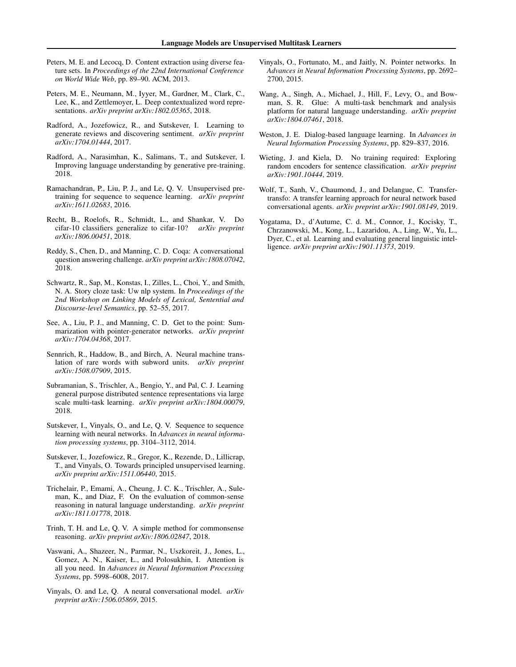- Peters, M. E. and Lecocq, D. Content extraction using diverse feature sets. In *Proceedings of the 22nd International Conference on World Wide Web*, pp. 89–90. ACM, 2013.
- Peters, M. E., Neumann, M., Iyyer, M., Gardner, M., Clark, C., Lee, K., and Zettlemoyer, L. Deep contextualized word representations. *arXiv preprint arXiv:1802.05365*, 2018.
- Radford, A., Jozefowicz, R., and Sutskever, I. Learning to generate reviews and discovering sentiment. *arXiv preprint arXiv:1704.01444*, 2017.
- Radford, A., Narasimhan, K., Salimans, T., and Sutskever, I. Improving language understanding by generative pre-training. 2018.
- Ramachandran, P., Liu, P. J., and Le, Q. V. Unsupervised pretraining for sequence to sequence learning. *arXiv preprint arXiv:1611.02683*, 2016.
- Recht, B., Roelofs, R., Schmidt, L., and Shankar, V. Do cifar-10 classifiers generalize to cifar-10? *arXiv preprint arXiv:1806.00451*, 2018.
- Reddy, S., Chen, D., and Manning, C. D. Coqa: A conversational question answering challenge. *arXiv preprint arXiv:1808.07042*, 2018.
- Schwartz, R., Sap, M., Konstas, I., Zilles, L., Choi, Y., and Smith, N. A. Story cloze task: Uw nlp system. In *Proceedings of the 2nd Workshop on Linking Models of Lexical, Sentential and Discourse-level Semantics*, pp. 52–55, 2017.
- See, A., Liu, P. J., and Manning, C. D. Get to the point: Summarization with pointer-generator networks. *arXiv preprint arXiv:1704.04368*, 2017.
- Sennrich, R., Haddow, B., and Birch, A. Neural machine translation of rare words with subword units. *arXiv preprint arXiv:1508.07909*, 2015.
- Subramanian, S., Trischler, A., Bengio, Y., and Pal, C. J. Learning general purpose distributed sentence representations via large scale multi-task learning. *arXiv preprint arXiv:1804.00079*, 2018.
- Sutskever, I., Vinyals, O., and Le, Q. V. Sequence to sequence learning with neural networks. In *Advances in neural information processing systems*, pp. 3104–3112, 2014.
- Sutskever, I., Jozefowicz, R., Gregor, K., Rezende, D., Lillicrap, T., and Vinyals, O. Towards principled unsupervised learning. *arXiv preprint arXiv:1511.06440*, 2015.
- Trichelair, P., Emami, A., Cheung, J. C. K., Trischler, A., Suleman, K., and Diaz, F. On the evaluation of common-sense reasoning in natural language understanding. *arXiv preprint arXiv:1811.01778*, 2018.
- Trinh, T. H. and Le, Q. V. A simple method for commonsense reasoning. *arXiv preprint arXiv:1806.02847*, 2018.
- Vaswani, A., Shazeer, N., Parmar, N., Uszkoreit, J., Jones, L., Gomez, A. N., Kaiser, Ł., and Polosukhin, I. Attention is all you need. In *Advances in Neural Information Processing Systems*, pp. 5998–6008, 2017.
- Vinyals, O. and Le, Q. A neural conversational model. *arXiv preprint arXiv:1506.05869*, 2015.
- Vinyals, O., Fortunato, M., and Jaitly, N. Pointer networks. In *Advances in Neural Information Processing Systems*, pp. 2692– 2700, 2015.
- Wang, A., Singh, A., Michael, J., Hill, F., Levy, O., and Bowman, S. R. Glue: A multi-task benchmark and analysis platform for natural language understanding. *arXiv preprint arXiv:1804.07461*, 2018.
- Weston, J. E. Dialog-based language learning. In *Advances in Neural Information Processing Systems*, pp. 829–837, 2016.
- Wieting, J. and Kiela, D. No training required: Exploring random encoders for sentence classification. *arXiv preprint arXiv:1901.10444*, 2019.
- Wolf, T., Sanh, V., Chaumond, J., and Delangue, C. Transfertransfo: A transfer learning approach for neural network based conversational agents. *arXiv preprint arXiv:1901.08149*, 2019.
- Yogatama, D., d'Autume, C. d. M., Connor, J., Kocisky, T., Chrzanowski, M., Kong, L., Lazaridou, A., Ling, W., Yu, L., Dyer, C., et al. Learning and evaluating general linguistic intelligence. *arXiv preprint arXiv:1901.11373*, 2019.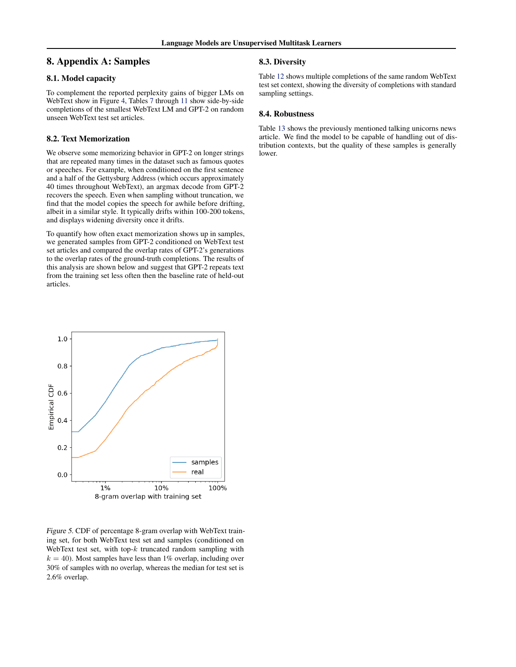# 8. Appendix A: Samples

## 8.1. Model capacity

To complement the reported perplexity gains of bigger LMs on WebText show in Figure 4, Tables 7 through 11 show side-by-side completions of the smallest WebText LM and GPT-2 on random unseen WebText test set articles.

#### 8.2. Text Memorization

We observe some memorizing behavior in GPT-2 on longer strings that are repeated many times in the dataset such as famous quotes or speeches. For example, when conditioned on the first sentence and a half of the Gettysburg Address (which occurs approximately 40 times throughout WebText), an argmax decode from GPT-2 recovers the speech. Even when sampling without truncation, we find that the model copies the speech for awhile before drifting, albeit in a similar style. It typically drifts within 100-200 tokens, and displays widening diversity once it drifts.

To quantify how often exact memorization shows up in samples, we generated samples from GPT-2 conditioned on WebText test set articles and compared the overlap rates of GPT-2's generations to the overlap rates of the ground-truth completions. The results of this analysis are shown below and suggest that GPT-2 repeats text from the training set less often then the baseline rate of held-out articles.



Figure 5. CDF of percentage 8-gram overlap with WebText training set, for both WebText test set and samples (conditioned on WebText test set, with top- $k$  truncated random sampling with  $k = 40$ ). Most samples have less than 1% overlap, including over 30% of samples with no overlap, whereas the median for test set is 2.6% overlap.

#### 8.3. Diversity

Table 12 shows multiple completions of the same random WebText test set context, showing the diversity of completions with standard sampling settings.

#### 8.4. Robustness

Table 13 shows the previously mentioned talking unicorns news article. We find the model to be capable of handling out of distribution contexts, but the quality of these samples is generally lower.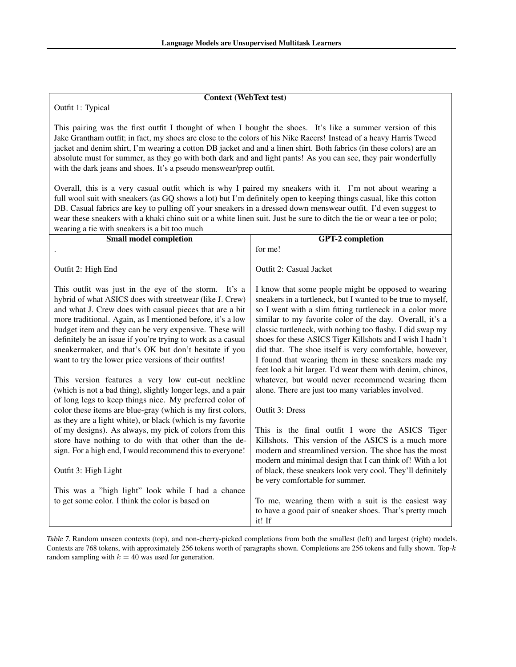### Outfit 1: Typical

This pairing was the first outfit I thought of when I bought the shoes. It's like a summer version of this Jake Grantham outfit; in fact, my shoes are close to the colors of his Nike Racers! Instead of a heavy Harris Tweed jacket and denim shirt, I'm wearing a cotton DB jacket and and a linen shirt. Both fabrics (in these colors) are an absolute must for summer, as they go with both dark and and light pants! As you can see, they pair wonderfully with the dark jeans and shoes. It's a pseudo menswear/prep outfit.

Overall, this is a very casual outfit which is why I paired my sneakers with it. I'm not about wearing a full wool suit with sneakers (as GQ shows a lot) but I'm definitely open to keeping things casual, like this cotton DB. Casual fabrics are key to pulling off your sneakers in a dressed down menswear outfit. I'd even suggest to wear these sneakers with a khaki chino suit or a white linen suit. Just be sure to ditch the tie or wear a tee or polo; wearing a tie with sneakers is a bit too much

| <b>Small model completion</b>                                                                                                                                                                                                                                                                                                                                                                                                                                                                                                              | <b>GPT-2</b> completion                                                                                                                                                                                                                                                                                                                                                                                                                                                                                                                                                                                   |
|--------------------------------------------------------------------------------------------------------------------------------------------------------------------------------------------------------------------------------------------------------------------------------------------------------------------------------------------------------------------------------------------------------------------------------------------------------------------------------------------------------------------------------------------|-----------------------------------------------------------------------------------------------------------------------------------------------------------------------------------------------------------------------------------------------------------------------------------------------------------------------------------------------------------------------------------------------------------------------------------------------------------------------------------------------------------------------------------------------------------------------------------------------------------|
|                                                                                                                                                                                                                                                                                                                                                                                                                                                                                                                                            | for me!                                                                                                                                                                                                                                                                                                                                                                                                                                                                                                                                                                                                   |
| Outfit 2: High End                                                                                                                                                                                                                                                                                                                                                                                                                                                                                                                         | Outfit 2: Casual Jacket                                                                                                                                                                                                                                                                                                                                                                                                                                                                                                                                                                                   |
| This outfit was just in the eye of the storm. It's a<br>hybrid of what ASICS does with streetwear (like J. Crew)<br>and what J. Crew does with casual pieces that are a bit<br>more traditional. Again, as I mentioned before, it's a low<br>budget item and they can be very expensive. These will<br>definitely be an issue if you're trying to work as a casual<br>sneakermaker, and that's OK but don't hesitate if you<br>want to try the lower price versions of their outfits!<br>This version features a very low cut-cut neckline | I know that some people might be opposed to wearing<br>sneakers in a turtleneck, but I wanted to be true to myself,<br>so I went with a slim fitting turtleneck in a color more<br>similar to my favorite color of the day. Overall, it's a<br>classic turtleneck, with nothing too flashy. I did swap my<br>shoes for these ASICS Tiger Killshots and I wish I hadn't<br>did that. The shoe itself is very comfortable, however,<br>I found that wearing them in these sneakers made my<br>feet look a bit larger. I'd wear them with denim, chinos,<br>whatever, but would never recommend wearing them |
| (which is not a bad thing), slightly longer legs, and a pair                                                                                                                                                                                                                                                                                                                                                                                                                                                                               | alone. There are just too many variables involved.                                                                                                                                                                                                                                                                                                                                                                                                                                                                                                                                                        |
| of long legs to keep things nice. My preferred color of                                                                                                                                                                                                                                                                                                                                                                                                                                                                                    |                                                                                                                                                                                                                                                                                                                                                                                                                                                                                                                                                                                                           |
| color these items are blue-gray (which is my first colors,                                                                                                                                                                                                                                                                                                                                                                                                                                                                                 | Outfit 3: Dress                                                                                                                                                                                                                                                                                                                                                                                                                                                                                                                                                                                           |
| as they are a light white), or black (which is my favorite                                                                                                                                                                                                                                                                                                                                                                                                                                                                                 |                                                                                                                                                                                                                                                                                                                                                                                                                                                                                                                                                                                                           |
| of my designs). As always, my pick of colors from this                                                                                                                                                                                                                                                                                                                                                                                                                                                                                     | This is the final outfit I wore the ASICS Tiger                                                                                                                                                                                                                                                                                                                                                                                                                                                                                                                                                           |
| store have nothing to do with that other than the de-                                                                                                                                                                                                                                                                                                                                                                                                                                                                                      | Killshots. This version of the ASICS is a much more                                                                                                                                                                                                                                                                                                                                                                                                                                                                                                                                                       |
| sign. For a high end, I would recommend this to everyone!                                                                                                                                                                                                                                                                                                                                                                                                                                                                                  | modern and streamlined version. The shoe has the most<br>modern and minimal design that I can think of! With a lot                                                                                                                                                                                                                                                                                                                                                                                                                                                                                        |
| Outfit 3: High Light                                                                                                                                                                                                                                                                                                                                                                                                                                                                                                                       | of black, these sneakers look very cool. They'll definitely                                                                                                                                                                                                                                                                                                                                                                                                                                                                                                                                               |
|                                                                                                                                                                                                                                                                                                                                                                                                                                                                                                                                            | be very comfortable for summer.                                                                                                                                                                                                                                                                                                                                                                                                                                                                                                                                                                           |
| This was a "high light" look while I had a chance                                                                                                                                                                                                                                                                                                                                                                                                                                                                                          |                                                                                                                                                                                                                                                                                                                                                                                                                                                                                                                                                                                                           |
| to get some color. I think the color is based on                                                                                                                                                                                                                                                                                                                                                                                                                                                                                           | To me, wearing them with a suit is the easiest way                                                                                                                                                                                                                                                                                                                                                                                                                                                                                                                                                        |
|                                                                                                                                                                                                                                                                                                                                                                                                                                                                                                                                            | to have a good pair of sneaker shoes. That's pretty much<br>it! If                                                                                                                                                                                                                                                                                                                                                                                                                                                                                                                                        |

Table 7. Random unseen contexts (top), and non-cherry-picked completions from both the smallest (left) and largest (right) models. Contexts are 768 tokens, with approximately 256 tokens worth of paragraphs shown. Completions are 256 tokens and fully shown. Top-k random sampling with  $k = 40$  was used for generation.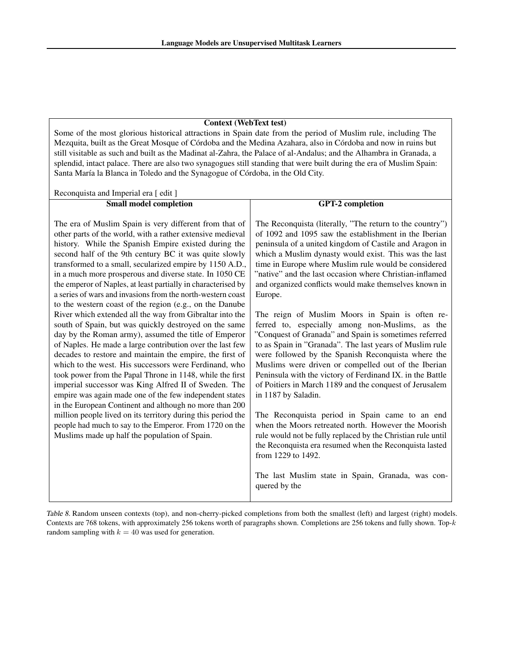Some of the most glorious historical attractions in Spain date from the period of Muslim rule, including The Mezquita, built as the Great Mosque of Córdoba and the Medina Azahara, also in Córdoba and now in ruins but still visitable as such and built as the Madinat al-Zahra, the Palace of al-Andalus; and the Alhambra in Granada, a splendid, intact palace. There are also two synagogues still standing that were built during the era of Muslim Spain: Santa María la Blanca in Toledo and the Synagogue of Córdoba, in the Old City.

Reconquista and Imperial era [ edit ]

| $\frac{1}{2}$                                                                                                                                                                                                                                                                                                                                                                                                                                                                                                                                                                                                                                                                                                                                                                                                                                                                                                                                                                                                                                                                                                                                                                                                                                                                                                                                 |                                                                                                                                                                                                                                                                                                                                                                                                                                                                                                                                                                                                                                                                                                                                                                                                                                                                                                                                                                                                                                                                                                                                                                                                                                                    |
|-----------------------------------------------------------------------------------------------------------------------------------------------------------------------------------------------------------------------------------------------------------------------------------------------------------------------------------------------------------------------------------------------------------------------------------------------------------------------------------------------------------------------------------------------------------------------------------------------------------------------------------------------------------------------------------------------------------------------------------------------------------------------------------------------------------------------------------------------------------------------------------------------------------------------------------------------------------------------------------------------------------------------------------------------------------------------------------------------------------------------------------------------------------------------------------------------------------------------------------------------------------------------------------------------------------------------------------------------|----------------------------------------------------------------------------------------------------------------------------------------------------------------------------------------------------------------------------------------------------------------------------------------------------------------------------------------------------------------------------------------------------------------------------------------------------------------------------------------------------------------------------------------------------------------------------------------------------------------------------------------------------------------------------------------------------------------------------------------------------------------------------------------------------------------------------------------------------------------------------------------------------------------------------------------------------------------------------------------------------------------------------------------------------------------------------------------------------------------------------------------------------------------------------------------------------------------------------------------------------|
| <b>Small model completion</b>                                                                                                                                                                                                                                                                                                                                                                                                                                                                                                                                                                                                                                                                                                                                                                                                                                                                                                                                                                                                                                                                                                                                                                                                                                                                                                                 | <b>GPT-2</b> completion                                                                                                                                                                                                                                                                                                                                                                                                                                                                                                                                                                                                                                                                                                                                                                                                                                                                                                                                                                                                                                                                                                                                                                                                                            |
| The era of Muslim Spain is very different from that of<br>other parts of the world, with a rather extensive medieval<br>history. While the Spanish Empire existed during the<br>second half of the 9th century BC it was quite slowly<br>transformed to a small, secularized empire by 1150 A.D.,<br>in a much more prosperous and diverse state. In 1050 CE<br>the emperor of Naples, at least partially in characterised by<br>a series of wars and invasions from the north-western coast<br>to the western coast of the region (e.g., on the Danube<br>River which extended all the way from Gibraltar into the<br>south of Spain, but was quickly destroyed on the same<br>day by the Roman army), assumed the title of Emperor<br>of Naples. He made a large contribution over the last few<br>decades to restore and maintain the empire, the first of<br>which to the west. His successors were Ferdinand, who<br>took power from the Papal Throne in 1148, while the first<br>imperial successor was King Alfred II of Sweden. The<br>empire was again made one of the few independent states<br>in the European Continent and although no more than 200<br>million people lived on its territory during this period the<br>people had much to say to the Emperor. From 1720 on the<br>Muslims made up half the population of Spain. | The Reconquista (literally, "The return to the country")<br>of 1092 and 1095 saw the establishment in the Iberian<br>peninsula of a united kingdom of Castile and Aragon in<br>which a Muslim dynasty would exist. This was the last<br>time in Europe where Muslim rule would be considered<br>"native" and the last occasion where Christian-inflamed<br>and organized conflicts would make themselves known in<br>Europe.<br>The reign of Muslim Moors in Spain is often re-<br>ferred to, especially among non-Muslims, as the<br>"Conquest of Granada" and Spain is sometimes referred<br>to as Spain in "Granada". The last years of Muslim rule<br>were followed by the Spanish Reconquista where the<br>Muslims were driven or compelled out of the Iberian<br>Peninsula with the victory of Ferdinand IX. in the Battle<br>of Poitiers in March 1189 and the conquest of Jerusalem<br>in 1187 by Saladin.<br>The Reconquista period in Spain came to an end<br>when the Moors retreated north. However the Moorish<br>rule would not be fully replaced by the Christian rule until<br>the Reconquista era resumed when the Reconquista lasted<br>from 1229 to 1492.<br>The last Muslim state in Spain, Granada, was con-<br>quered by the |
|                                                                                                                                                                                                                                                                                                                                                                                                                                                                                                                                                                                                                                                                                                                                                                                                                                                                                                                                                                                                                                                                                                                                                                                                                                                                                                                                               |                                                                                                                                                                                                                                                                                                                                                                                                                                                                                                                                                                                                                                                                                                                                                                                                                                                                                                                                                                                                                                                                                                                                                                                                                                                    |

Table 8. Random unseen contexts (top), and non-cherry-picked completions from both the smallest (left) and largest (right) models. Contexts are 768 tokens, with approximately 256 tokens worth of paragraphs shown. Completions are 256 tokens and fully shown. Top- $k$ random sampling with  $k = 40$  was used for generation.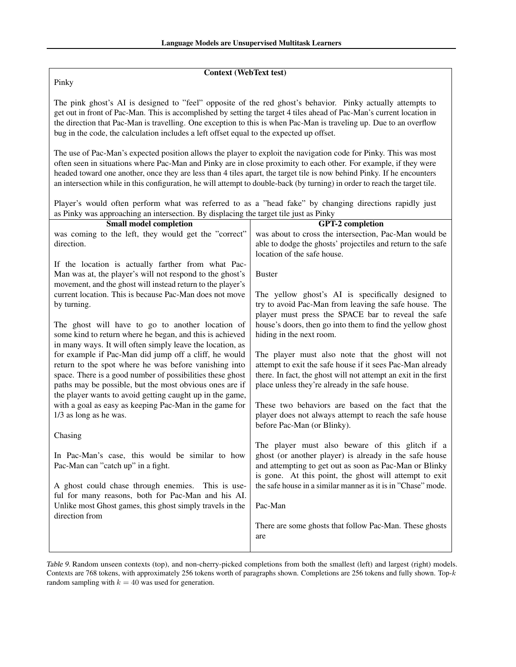# Pinky

The pink ghost's AI is designed to "feel" opposite of the red ghost's behavior. Pinky actually attempts to get out in front of Pac-Man. This is accomplished by setting the target 4 tiles ahead of Pac-Man's current location in the direction that Pac-Man is travelling. One exception to this is when Pac-Man is traveling up. Due to an overflow bug in the code, the calculation includes a left offset equal to the expected up offset.

The use of Pac-Man's expected position allows the player to exploit the navigation code for Pinky. This was most often seen in situations where Pac-Man and Pinky are in close proximity to each other. For example, if they were headed toward one another, once they are less than 4 tiles apart, the target tile is now behind Pinky. If he encounters an intersection while in this configuration, he will attempt to double-back (by turning) in order to reach the target tile.

Player's would often perform what was referred to as a "head fake" by changing directions rapidly just as Pinky was approaching an intersection. By displacing the target tile just as Pinky

| $\sim$ 1<br><b>Small model completion</b>                                                                          | $\sim$ $\sim$<br><b>GPT-2</b> completion                                                                               |
|--------------------------------------------------------------------------------------------------------------------|------------------------------------------------------------------------------------------------------------------------|
| was coming to the left, they would get the "correct"                                                               | was about to cross the intersection, Pac-Man would be                                                                  |
| direction.                                                                                                         | able to dodge the ghosts' projectiles and return to the safe                                                           |
|                                                                                                                    | location of the safe house.                                                                                            |
| If the location is actually farther from what Pac-                                                                 |                                                                                                                        |
| Man was at, the player's will not respond to the ghost's                                                           | <b>Buster</b>                                                                                                          |
| movement, and the ghost will instead return to the player's                                                        |                                                                                                                        |
| current location. This is because Pac-Man does not move                                                            | The yellow ghost's AI is specifically designed to                                                                      |
| by turning.                                                                                                        | try to avoid Pac-Man from leaving the safe house. The                                                                  |
|                                                                                                                    | player must press the SPACE bar to reveal the safe                                                                     |
| The ghost will have to go to another location of                                                                   | house's doors, then go into them to find the yellow ghost                                                              |
|                                                                                                                    |                                                                                                                        |
| some kind to return where he began, and this is achieved                                                           | hiding in the next room.                                                                                               |
| in many ways. It will often simply leave the location, as<br>for example if Pac-Man did jump off a cliff, he would |                                                                                                                        |
| return to the spot where he was before vanishing into                                                              | The player must also note that the ghost will not<br>attempt to exit the safe house if it sees Pac-Man already         |
| space. There is a good number of possibilities these ghost                                                         | there. In fact, the ghost will not attempt an exit in the first                                                        |
| paths may be possible, but the most obvious ones are if                                                            | place unless they're already in the safe house.                                                                        |
| the player wants to avoid getting caught up in the game,                                                           |                                                                                                                        |
| with a goal as easy as keeping Pac-Man in the game for                                                             | These two behaviors are based on the fact that the                                                                     |
| $1/3$ as long as he was.                                                                                           | player does not always attempt to reach the safe house                                                                 |
|                                                                                                                    | before Pac-Man (or Blinky).                                                                                            |
|                                                                                                                    |                                                                                                                        |
| Chasing                                                                                                            |                                                                                                                        |
|                                                                                                                    | The player must also beware of this glitch if a                                                                        |
| In Pac-Man's case, this would be similar to how                                                                    | ghost (or another player) is already in the safe house<br>and attempting to get out as soon as Pac-Man or Blinky       |
| Pac-Man can "catch up" in a fight.                                                                                 |                                                                                                                        |
|                                                                                                                    | is gone. At this point, the ghost will attempt to exit<br>the safe house in a similar manner as it is in "Chase" mode. |
| A ghost could chase through enemies. This is use-<br>ful for many reasons, both for Pac-Man and his AI.            |                                                                                                                        |
|                                                                                                                    |                                                                                                                        |
| Unlike most Ghost games, this ghost simply travels in the<br>direction from                                        | Pac-Man                                                                                                                |
|                                                                                                                    |                                                                                                                        |
|                                                                                                                    | There are some ghosts that follow Pac-Man. These ghosts                                                                |
|                                                                                                                    | are                                                                                                                    |
|                                                                                                                    |                                                                                                                        |

Table 9. Random unseen contexts (top), and non-cherry-picked completions from both the smallest (left) and largest (right) models. Contexts are 768 tokens, with approximately 256 tokens worth of paragraphs shown. Completions are 256 tokens and fully shown. Top-k random sampling with  $k = 40$  was used for generation.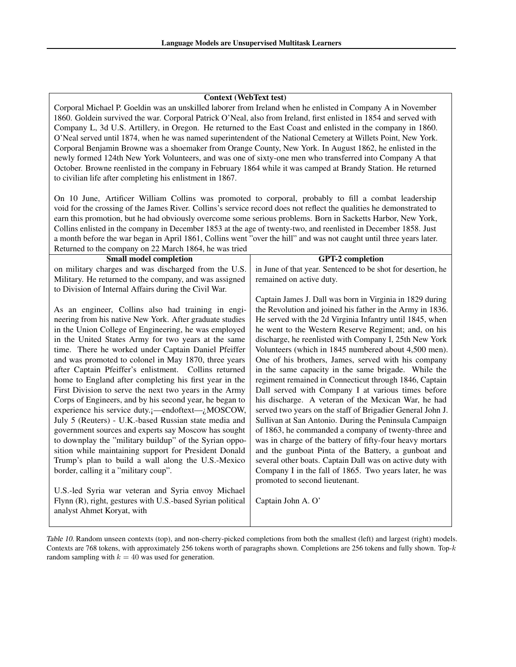Corporal Michael P. Goeldin was an unskilled laborer from Ireland when he enlisted in Company A in November 1860. Goldein survived the war. Corporal Patrick O'Neal, also from Ireland, first enlisted in 1854 and served with Company L, 3d U.S. Artillery, in Oregon. He returned to the East Coast and enlisted in the company in 1860. O'Neal served until 1874, when he was named superintendent of the National Cemetery at Willets Point, New York. Corporal Benjamin Browne was a shoemaker from Orange County, New York. In August 1862, he enlisted in the newly formed 124th New York Volunteers, and was one of sixty-one men who transferred into Company A that October. Browne reenlisted in the company in February 1864 while it was camped at Brandy Station. He returned to civilian life after completing his enlistment in 1867.

On 10 June, Artificer William Collins was promoted to corporal, probably to fill a combat leadership void for the crossing of the James River. Collins's service record does not reflect the qualities he demonstrated to earn this promotion, but he had obviously overcome some serious problems. Born in Sacketts Harbor, New York, Collins enlisted in the company in December 1853 at the age of twenty-two, and reenlisted in December 1858. Just a month before the war began in April 1861, Collins went "over the hill" and was not caught until three years later. Returned to the company on 22 March 1864, he was tried

| <b>Small model completion</b>                                                                                                                                                                                                                                                                                                                                                                                                                                                                                                                                                                                                                                                                                                                                                                                                                                                    | <b>GPT-2</b> completion                                                                                                                                                                                                                                                                                                                                                                                                                                                                                                                                                                                                                                                                                                                                                                                                                                                                                                                             |
|----------------------------------------------------------------------------------------------------------------------------------------------------------------------------------------------------------------------------------------------------------------------------------------------------------------------------------------------------------------------------------------------------------------------------------------------------------------------------------------------------------------------------------------------------------------------------------------------------------------------------------------------------------------------------------------------------------------------------------------------------------------------------------------------------------------------------------------------------------------------------------|-----------------------------------------------------------------------------------------------------------------------------------------------------------------------------------------------------------------------------------------------------------------------------------------------------------------------------------------------------------------------------------------------------------------------------------------------------------------------------------------------------------------------------------------------------------------------------------------------------------------------------------------------------------------------------------------------------------------------------------------------------------------------------------------------------------------------------------------------------------------------------------------------------------------------------------------------------|
| on military charges and was discharged from the U.S.                                                                                                                                                                                                                                                                                                                                                                                                                                                                                                                                                                                                                                                                                                                                                                                                                             | in June of that year. Sentenced to be shot for desertion, he                                                                                                                                                                                                                                                                                                                                                                                                                                                                                                                                                                                                                                                                                                                                                                                                                                                                                        |
| Military. He returned to the company, and was assigned                                                                                                                                                                                                                                                                                                                                                                                                                                                                                                                                                                                                                                                                                                                                                                                                                           | remained on active duty.                                                                                                                                                                                                                                                                                                                                                                                                                                                                                                                                                                                                                                                                                                                                                                                                                                                                                                                            |
| to Division of Internal Affairs during the Civil War.                                                                                                                                                                                                                                                                                                                                                                                                                                                                                                                                                                                                                                                                                                                                                                                                                            |                                                                                                                                                                                                                                                                                                                                                                                                                                                                                                                                                                                                                                                                                                                                                                                                                                                                                                                                                     |
| As an engineer, Collins also had training in engi-<br>neering from his native New York. After graduate studies<br>in the Union College of Engineering, he was employed<br>in the United States Army for two years at the same<br>time. There he worked under Captain Daniel Pfeiffer<br>and was promoted to colonel in May 1870, three years<br>after Captain Pfeiffer's enlistment. Collins returned<br>home to England after completing his first year in the<br>First Division to serve the next two years in the Army<br>Corps of Engineers, and by his second year, he began to<br>experience his service duty.;—endoftext— $i$ MOSCOW,<br>July 5 (Reuters) - U.K.-based Russian state media and<br>government sources and experts say Moscow has sought<br>to downplay the "military buildup" of the Syrian oppo-<br>sition while maintaining support for President Donald | Captain James J. Dall was born in Virginia in 1829 during<br>the Revolution and joined his father in the Army in 1836.<br>He served with the 2d Virginia Infantry until 1845, when<br>he went to the Western Reserve Regiment; and, on his<br>discharge, he reenlisted with Company I, 25th New York<br>Volunteers (which in 1845 numbered about 4,500 men).<br>One of his brothers, James, served with his company<br>in the same capacity in the same brigade. While the<br>regiment remained in Connecticut through 1846, Captain<br>Dall served with Company I at various times before<br>his discharge. A veteran of the Mexican War, he had<br>served two years on the staff of Brigadier General John J.<br>Sullivan at San Antonio. During the Peninsula Campaign<br>of 1863, he commanded a company of twenty-three and<br>was in charge of the battery of fifty-four heavy mortars<br>and the gunboat Pinta of the Battery, a gunboat and |
| Trump's plan to build a wall along the U.S.-Mexico                                                                                                                                                                                                                                                                                                                                                                                                                                                                                                                                                                                                                                                                                                                                                                                                                               | several other boats. Captain Dall was on active duty with                                                                                                                                                                                                                                                                                                                                                                                                                                                                                                                                                                                                                                                                                                                                                                                                                                                                                           |
| border, calling it a "military coup".                                                                                                                                                                                                                                                                                                                                                                                                                                                                                                                                                                                                                                                                                                                                                                                                                                            | Company I in the fall of 1865. Two years later, he was<br>promoted to second lieutenant.                                                                                                                                                                                                                                                                                                                                                                                                                                                                                                                                                                                                                                                                                                                                                                                                                                                            |
| U.S.-led Syria war veteran and Syria envoy Michael                                                                                                                                                                                                                                                                                                                                                                                                                                                                                                                                                                                                                                                                                                                                                                                                                               |                                                                                                                                                                                                                                                                                                                                                                                                                                                                                                                                                                                                                                                                                                                                                                                                                                                                                                                                                     |
|                                                                                                                                                                                                                                                                                                                                                                                                                                                                                                                                                                                                                                                                                                                                                                                                                                                                                  |                                                                                                                                                                                                                                                                                                                                                                                                                                                                                                                                                                                                                                                                                                                                                                                                                                                                                                                                                     |
| Flynn (R), right, gestures with U.S.-based Syrian political                                                                                                                                                                                                                                                                                                                                                                                                                                                                                                                                                                                                                                                                                                                                                                                                                      | Captain John A. O'                                                                                                                                                                                                                                                                                                                                                                                                                                                                                                                                                                                                                                                                                                                                                                                                                                                                                                                                  |

Table 10. Random unseen contexts (top), and non-cherry-picked completions from both the smallest (left) and largest (right) models. Contexts are 768 tokens, with approximately 256 tokens worth of paragraphs shown. Completions are 256 tokens and fully shown. Top-k random sampling with  $k = 40$  was used for generation.

analyst Ahmet Koryat, with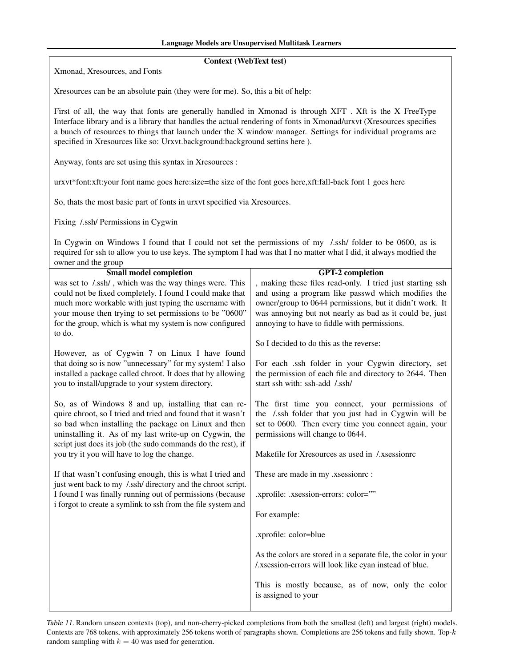Xmonad, Xresources, and Fonts

Xresources can be an absolute pain (they were for me). So, this a bit of help:

First of all, the way that fonts are generally handled in Xmonad is through XFT . Xft is the X FreeType Interface library and is a library that handles the actual rendering of fonts in Xmonad/urxvt (Xresources specifies a bunch of resources to things that launch under the X window manager. Settings for individual programs are specified in Xresources like so: Urxvt.background:background settins here ).

Anyway, fonts are set using this syntax in Xresources :

urxvt\*font:xft:your font name goes here:size=the size of the font goes here,xft:fall-back font 1 goes here

So, thats the most basic part of fonts in urxvt specified via Xresources.

Fixing /.ssh/ Permissions in Cygwin

In Cygwin on Windows I found that I could not set the permissions of my /.ssh/ folder to be 0600, as is required for ssh to allow you to use keys. The symptom I had was that I no matter what I did, it always modfied the owner and the group

| OWHER all the group                                                                                                                                                                                                                                                                                         |                                                                                                                                                                                                                                                                                       |
|-------------------------------------------------------------------------------------------------------------------------------------------------------------------------------------------------------------------------------------------------------------------------------------------------------------|---------------------------------------------------------------------------------------------------------------------------------------------------------------------------------------------------------------------------------------------------------------------------------------|
| <b>Small model completion</b>                                                                                                                                                                                                                                                                               | <b>GPT-2</b> completion                                                                                                                                                                                                                                                               |
| was set to /.ssh/, which was the way things were. This<br>could not be fixed completely. I found I could make that<br>much more workable with just typing the username with<br>your mouse then trying to set permissions to be "0600"<br>for the group, which is what my system is now configured<br>to do. | , making these files read-only. I tried just starting ssh<br>and using a program like passwd which modifies the<br>owner/group to 0644 permissions, but it didn't work. It<br>was annoying but not nearly as bad as it could be, just<br>annoying to have to fiddle with permissions. |
|                                                                                                                                                                                                                                                                                                             | So I decided to do this as the reverse:                                                                                                                                                                                                                                               |
| However, as of Cygwin 7 on Linux I have found<br>that doing so is now "unnecessary" for my system! I also<br>installed a package called chroot. It does that by allowing<br>you to install/upgrade to your system directory.                                                                                | For each .ssh folder in your Cygwin directory, set<br>the permission of each file and directory to 2644. Then<br>start ssh with: ssh-add /.ssh/                                                                                                                                       |
| So, as of Windows 8 and up, installing that can re-<br>quire chroot, so I tried and tried and found that it wasn't<br>so bad when installing the package on Linux and then<br>uninstalling it. As of my last write-up on Cygwin, the<br>script just does its job (the sudo commands do the rest), if        | The first time you connect, your permissions of<br>the /.ssh folder that you just had in Cygwin will be<br>set to 0600. Then every time you connect again, your<br>permissions will change to 0644.                                                                                   |
| you try it you will have to log the change.                                                                                                                                                                                                                                                                 | Makefile for Xresources as used in /.xsessionrc                                                                                                                                                                                                                                       |
| If that wasn't confusing enough, this is what I tried and<br>just went back to my /.ssh/ directory and the chroot script.                                                                                                                                                                                   | These are made in my .xsessionrc :                                                                                                                                                                                                                                                    |
| I found I was finally running out of permissions (because<br>i forgot to create a symlink to ssh from the file system and                                                                                                                                                                                   | .xprofile: .xsession-errors: color=""                                                                                                                                                                                                                                                 |
|                                                                                                                                                                                                                                                                                                             | For example:                                                                                                                                                                                                                                                                          |
|                                                                                                                                                                                                                                                                                                             | .xprofile: color=blue                                                                                                                                                                                                                                                                 |
|                                                                                                                                                                                                                                                                                                             | As the colors are stored in a separate file, the color in your<br>/.xsession-errors will look like cyan instead of blue.                                                                                                                                                              |
|                                                                                                                                                                                                                                                                                                             | This is mostly because, as of now, only the color<br>is assigned to your                                                                                                                                                                                                              |
|                                                                                                                                                                                                                                                                                                             |                                                                                                                                                                                                                                                                                       |

Table 11. Random unseen contexts (top), and non-cherry-picked completions from both the smallest (left) and largest (right) models. Contexts are 768 tokens, with approximately 256 tokens worth of paragraphs shown. Completions are 256 tokens and fully shown. Top-k random sampling with  $k = 40$  was used for generation.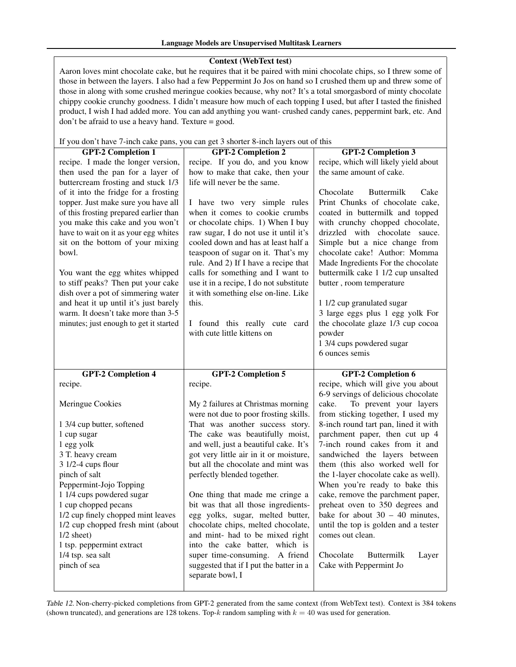Aaron loves mint chocolate cake, but he requires that it be paired with mini chocolate chips, so I threw some of those in between the layers. I also had a few Peppermint Jo Jos on hand so I crushed them up and threw some of those in along with some crushed meringue cookies because, why not? It's a total smorgasbord of minty chocolate chippy cookie crunchy goodness. I didn't measure how much of each topping I used, but after I tasted the finished product, I wish I had added more. You can add anything you want- crushed candy canes, peppermint bark, etc. And don't be afraid to use a heavy hand. Texture = good.

If you don't have 7-inch cake pans, you can get 3 shorter 8-inch layers out of this

| If you won't have $\tau$ firen cake pans, you can get $\sigma$ shorter $\sigma$ inch hayers out of this<br><b>GPT-2 Completion 1</b> | <b>GPT-2 Completion 2</b>                                   | <b>GPT-2 Completion 3</b>                                      |
|--------------------------------------------------------------------------------------------------------------------------------------|-------------------------------------------------------------|----------------------------------------------------------------|
| recipe. I made the longer version,                                                                                                   | recipe. If you do, and you know                             | recipe, which will likely yield about                          |
| then used the pan for a layer of                                                                                                     | how to make that cake, then your                            | the same amount of cake.                                       |
| buttercream frosting and stuck 1/3                                                                                                   | life will never be the same.                                |                                                                |
| of it into the fridge for a frosting                                                                                                 |                                                             | Chocolate<br>Buttermilk<br>Cake                                |
| topper. Just make sure you have all                                                                                                  | I have two very simple rules                                | Print Chunks of chocolate cake,                                |
| of this frosting prepared earlier than                                                                                               | when it comes to cookie crumbs                              | coated in buttermilk and topped                                |
| you make this cake and you won't                                                                                                     | or chocolate chips. 1) When I buy                           | with crunchy chopped chocolate,                                |
| have to wait on it as your egg whites                                                                                                | raw sugar, I do not use it until it's                       | drizzled with chocolate sauce.                                 |
| sit on the bottom of your mixing                                                                                                     | cooled down and has at least half a                         | Simple but a nice change from                                  |
| bowl.                                                                                                                                | teaspoon of sugar on it. That's my                          | chocolate cake! Author: Momma                                  |
|                                                                                                                                      | rule. And 2) If I have a recipe that                        | Made Ingredients For the chocolate                             |
| You want the egg whites whipped                                                                                                      | calls for something and I want to                           | buttermilk cake 1 1/2 cup unsalted                             |
| to stiff peaks? Then put your cake                                                                                                   | use it in a recipe, I do not substitute                     | butter, room temperature                                       |
| dish over a pot of simmering water                                                                                                   | it with something else on-line. Like                        |                                                                |
| and heat it up until it's just barely                                                                                                | this.                                                       | 1 1/2 cup granulated sugar                                     |
| warm. It doesn't take more than 3-5                                                                                                  |                                                             | 3 large eggs plus 1 egg yolk For                               |
| minutes; just enough to get it started                                                                                               | I found this really cute card                               | the chocolate glaze 1/3 cup cocoa                              |
|                                                                                                                                      | with cute little kittens on                                 | powder                                                         |
|                                                                                                                                      |                                                             | 1 3/4 cups powdered sugar                                      |
|                                                                                                                                      |                                                             | 6 ounces semis                                                 |
|                                                                                                                                      |                                                             |                                                                |
|                                                                                                                                      |                                                             |                                                                |
| <b>GPT-2 Completion 4</b><br>recipe.                                                                                                 | <b>GPT-2 Completion 5</b><br>recipe.                        | <b>GPT-2 Completion 6</b><br>recipe, which will give you about |
|                                                                                                                                      |                                                             | 6-9 servings of delicious chocolate                            |
| Meringue Cookies                                                                                                                     | My 2 failures at Christmas morning                          | To prevent your layers<br>cake.                                |
|                                                                                                                                      | were not due to poor frosting skills.                       | from sticking together, I used my                              |
| 1 3/4 cup butter, softened                                                                                                           | That was another success story.                             | 8-inch round tart pan, lined it with                           |
| 1 cup sugar                                                                                                                          | The cake was beautifully moist,                             | parchment paper, then cut up 4                                 |
| 1 egg yolk                                                                                                                           | and well, just a beautiful cake. It's                       | 7-inch round cakes from it and                                 |
| 3 T. heavy cream                                                                                                                     | got very little air in it or moisture,                      | sandwiched the layers between                                  |
| 3 1/2-4 cups flour                                                                                                                   | but all the chocolate and mint was                          | them (this also worked well for                                |
| pinch of salt                                                                                                                        | perfectly blended together.                                 | the 1-layer chocolate cake as well).                           |
| Peppermint-Jojo Topping                                                                                                              |                                                             | When you're ready to bake this                                 |
| 1 1/4 cups powdered sugar                                                                                                            | One thing that made me cringe a                             | cake, remove the parchment paper,                              |
| 1 cup chopped pecans                                                                                                                 | bit was that all those ingredients-                         | preheat oven to 350 degrees and                                |
| 1/2 cup finely chopped mint leaves                                                                                                   | egg yolks, sugar, melted butter,                            | bake for about $30 - 40$ minutes,                              |
| 1/2 cup chopped fresh mint (about                                                                                                    | chocolate chips, melted chocolate,                          | until the top is golden and a tester                           |
| $1/2$ sheet)                                                                                                                         | and mint- had to be mixed right                             | comes out clean.                                               |
| 1 tsp. peppermint extract                                                                                                            | into the cake batter, which is                              |                                                                |
| 1/4 tsp. sea salt                                                                                                                    | super time-consuming.<br>A friend                           | Chocolate<br><b>Buttermilk</b><br>Layer                        |
| pinch of sea                                                                                                                         | suggested that if I put the batter in a<br>separate bowl, I | Cake with Peppermint Jo                                        |

Table 12. Non-cherry-picked completions from GPT-2 generated from the same context (from WebText test). Context is 384 tokens (shown truncated), and generations are 128 tokens. Top-k random sampling with  $k = 40$  was used for generation.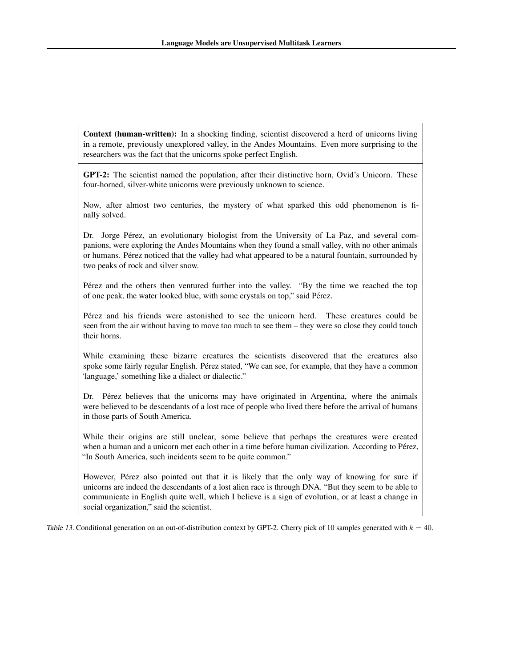Context (human-written): In a shocking finding, scientist discovered a herd of unicorns living in a remote, previously unexplored valley, in the Andes Mountains. Even more surprising to the researchers was the fact that the unicorns spoke perfect English.

GPT-2: The scientist named the population, after their distinctive horn, Ovid's Unicorn. These four-horned, silver-white unicorns were previously unknown to science.

Now, after almost two centuries, the mystery of what sparked this odd phenomenon is finally solved.

Dr. Jorge Pérez, an evolutionary biologist from the University of La Paz, and several companions, were exploring the Andes Mountains when they found a small valley, with no other animals or humans. Perez noticed that the valley had what appeared to be a natural fountain, surrounded by ´ two peaks of rock and silver snow.

Pérez and the others then ventured further into the valley. "By the time we reached the top of one peak, the water looked blue, with some crystals on top," said Pérez.

Pérez and his friends were astonished to see the unicorn herd. These creatures could be seen from the air without having to move too much to see them – they were so close they could touch their horns.

While examining these bizarre creatures the scientists discovered that the creatures also spoke some fairly regular English. Pérez stated, "We can see, for example, that they have a common 'language,' something like a dialect or dialectic."

Dr. Pérez believes that the unicorns may have originated in Argentina, where the animals were believed to be descendants of a lost race of people who lived there before the arrival of humans in those parts of South America.

While their origins are still unclear, some believe that perhaps the creatures were created when a human and a unicorn met each other in a time before human civilization. According to Pérez, "In South America, such incidents seem to be quite common."

However, Pérez also pointed out that it is likely that the only way of knowing for sure if unicorns are indeed the descendants of a lost alien race is through DNA. "But they seem to be able to communicate in English quite well, which I believe is a sign of evolution, or at least a change in social organization," said the scientist.

Table 13. Conditional generation on an out-of-distribution context by GPT-2. Cherry pick of 10 samples generated with  $k = 40$ .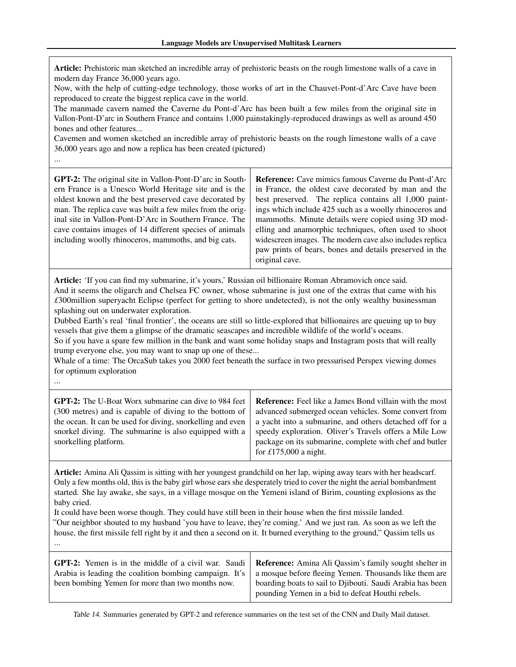Article: Prehistoric man sketched an incredible array of prehistoric beasts on the rough limestone walls of a cave in modern day France 36,000 years ago.

Now, with the help of cutting-edge technology, those works of art in the Chauvet-Pont-d'Arc Cave have been reproduced to create the biggest replica cave in the world.

The manmade cavern named the Caverne du Pont-d'Arc has been built a few miles from the original site in Vallon-Pont-D'arc in Southern France and contains 1,000 painstakingly-reproduced drawings as well as around 450 bones and other features...

Cavemen and women sketched an incredible array of prehistoric beasts on the rough limestone walls of a cave 36,000 years ago and now a replica has been created (pictured)

...

GPT-2: The original site in Vallon-Pont-D'arc in Southern France is a Unesco World Heritage site and is the oldest known and the best preserved cave decorated by man. The replica cave was built a few miles from the original site in Vallon-Pont-D'Arc in Southern France. The cave contains images of 14 different species of animals including woolly rhinoceros, mammoths, and big cats. Reference: Cave mimics famous Caverne du Pont-d'Arc in France, the oldest cave decorated by man and the best preserved. The replica contains all 1,000 paintings which include 425 such as a woolly rhinoceros and mammoths. Minute details were copied using 3D modelling and anamorphic techniques, often used to shoot widescreen images. The modern cave also includes replica paw prints of bears, bones and details preserved in the original cave.

Article: 'If you can find my submarine, it's yours,' Russian oil billionaire Roman Abramovich once said. And it seems the oligarch and Chelsea FC owner, whose submarine is just one of the extras that came with his *£*300million superyacht Eclipse (perfect for getting to shore undetected), is not the only wealthy businessman splashing out on underwater exploration.

Dubbed Earth's real 'final frontier', the oceans are still so little-explored that billionaires are queuing up to buy vessels that give them a glimpse of the dramatic seascapes and incredible wildlife of the world's oceans.

So if you have a spare few million in the bank and want some holiday snaps and Instagram posts that will really trump everyone else, you may want to snap up one of these...

Whale of a time: The OrcaSub takes you 2000 feet beneath the surface in two pressurised Perspex viewing domes for optimum exploration

...

| <b>GPT-2:</b> The U-Boat Worx submarine can dive to 984 feet | <b>Reference:</b> Feel like a James Bond villain with the most |
|--------------------------------------------------------------|----------------------------------------------------------------|
| (300 metres) and is capable of diving to the bottom of       | advanced submerged ocean vehicles. Some convert from           |
| the ocean. It can be used for diving, snorkelling and even   | a yacht into a submarine, and others detached off for a        |
| snorkel diving. The submarine is also equipped with a        | speedy exploration. Oliver's Travels offers a Mile Low         |
| snorkelling platform.                                        | package on its submarine, complete with chef and butler        |
|                                                              | for £175,000 a night.                                          |

Article: Amina Ali Qassim is sitting with her youngest grandchild on her lap, wiping away tears with her headscarf. Only a few months old, this is the baby girl whose ears she desperately tried to cover the night the aerial bombardment started. She lay awake, she says, in a village mosque on the Yemeni island of Birim, counting explosions as the baby cried.

It could have been worse though. They could have still been in their house when the first missile landed. "Our neighbor shouted to my husband 'you have to leave, they're coming.' And we just ran. As soon as we left the house, the first missile fell right by it and then a second on it. It burned everything to the ground," Qassim tells us ...

| <b>GPT-2:</b> Yemen is in the middle of a civil war. Saudi <b>Reference:</b> Amina Ali Qassim's family sought shelter in |                                                                                                               |
|--------------------------------------------------------------------------------------------------------------------------|---------------------------------------------------------------------------------------------------------------|
|                                                                                                                          | Arabia is leading the coalition bombing campaign. It's a mosque before fleeing Yemen. Thousands like them are |
| been bombing Yemen for more than two months now.                                                                         | boarding boats to sail to Diibouti. Saudi Arabia has been                                                     |
|                                                                                                                          | pounding Yemen in a bid to defeat Houthi rebels.                                                              |

Table 14. Summaries generated by GPT-2 and reference summaries on the test set of the CNN and Daily Mail dataset.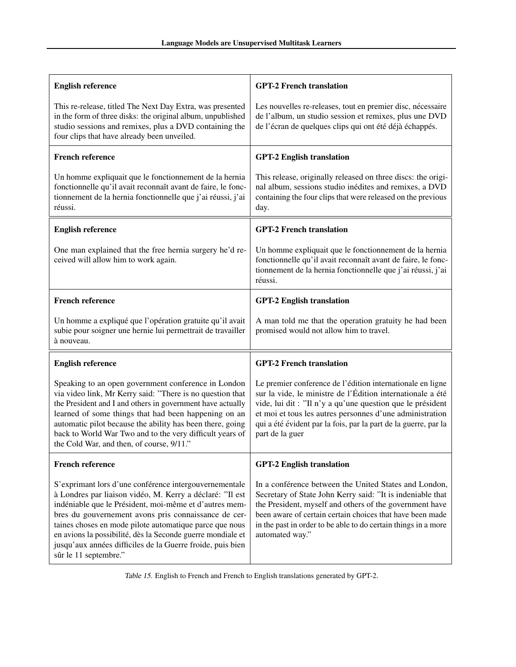| <b>English reference</b>                                                                                                                                                                                                                                                                                                                                                                                                                              | <b>GPT-2 French translation</b>                                                                                                                                                                                                                                                                                                          |
|-------------------------------------------------------------------------------------------------------------------------------------------------------------------------------------------------------------------------------------------------------------------------------------------------------------------------------------------------------------------------------------------------------------------------------------------------------|------------------------------------------------------------------------------------------------------------------------------------------------------------------------------------------------------------------------------------------------------------------------------------------------------------------------------------------|
| This re-release, titled The Next Day Extra, was presented<br>in the form of three disks: the original album, unpublished<br>studio sessions and remixes, plus a DVD containing the<br>four clips that have already been unveiled.                                                                                                                                                                                                                     | Les nouvelles re-releases, tout en premier disc, nécessaire<br>de l'album, un studio session et remixes, plus une DVD<br>de l'écran de quelques clips qui ont été déjà échappés.                                                                                                                                                         |
| <b>French reference</b>                                                                                                                                                                                                                                                                                                                                                                                                                               | <b>GPT-2 English translation</b>                                                                                                                                                                                                                                                                                                         |
| Un homme expliquait que le fonctionnement de la hernia<br>fonctionnelle qu'il avait reconnaît avant de faire, le fonc-<br>tionnement de la hernia fonctionnelle que j'ai réussi, j'ai<br>réussi.                                                                                                                                                                                                                                                      | This release, originally released on three discs: the origi-<br>nal album, sessions studio inédites and remixes, a DVD<br>containing the four clips that were released on the previous<br>day.                                                                                                                                           |
| <b>English reference</b>                                                                                                                                                                                                                                                                                                                                                                                                                              | <b>GPT-2 French translation</b>                                                                                                                                                                                                                                                                                                          |
| One man explained that the free hernia surgery he'd re-<br>ceived will allow him to work again.                                                                                                                                                                                                                                                                                                                                                       | Un homme expliquait que le fonctionnement de la hernia<br>fonctionnelle qu'il avait reconnaît avant de faire, le fonc-<br>tionnement de la hernia fonctionnelle que j'ai réussi, j'ai<br>réussi.                                                                                                                                         |
| <b>French reference</b>                                                                                                                                                                                                                                                                                                                                                                                                                               | <b>GPT-2 English translation</b>                                                                                                                                                                                                                                                                                                         |
| Un homme a expliqué que l'opération gratuite qu'il avait<br>subie pour soigner une hernie lui permettrait de travailler<br>à nouveau.                                                                                                                                                                                                                                                                                                                 | A man told me that the operation gratuity he had been<br>promised would not allow him to travel.                                                                                                                                                                                                                                         |
| <b>English reference</b>                                                                                                                                                                                                                                                                                                                                                                                                                              | <b>GPT-2 French translation</b>                                                                                                                                                                                                                                                                                                          |
| Speaking to an open government conference in London<br>via video link, Mr Kerry said: "There is no question that<br>the President and I and others in government have actually<br>learned of some things that had been happening on an<br>automatic pilot because the ability has been there, going<br>back to World War Two and to the very difficult years of<br>the Cold War, and then, of course, 9/11."                                          | Le premier conference de l'édition internationale en ligne<br>sur la vide, le ministre de l'Édition internationale a été<br>vide, lui dit : "Il n'y a qu'une question que le président<br>et moi et tous les autres personnes d'une administration<br>qui a été évident par la fois, par la part de la guerre, par la<br>part de la guer |
| <b>French reference</b>                                                                                                                                                                                                                                                                                                                                                                                                                               | <b>GPT-2 English translation</b>                                                                                                                                                                                                                                                                                                         |
| S'exprimant lors d'une conférence intergouvernementale<br>à Londres par liaison vidéo, M. Kerry a déclaré: "Il est<br>indéniable que le Président, moi-même et d'autres mem-<br>bres du gouvernement avons pris connaissance de cer-<br>taines choses en mode pilote automatique parce que nous<br>en avions la possibilité, dès la Seconde guerre mondiale et<br>jusqu'aux années difficiles de la Guerre froide, puis bien<br>sûr le 11 septembre." | In a conférence between the United States and London,<br>Secretary of State John Kerry said: "It is indeniable that<br>the President, myself and others of the government have<br>been aware of certain certain choices that have been made<br>in the past in order to be able to do certain things in a more<br>automated way."         |

Table 15. English to French and French to English translations generated by GPT-2.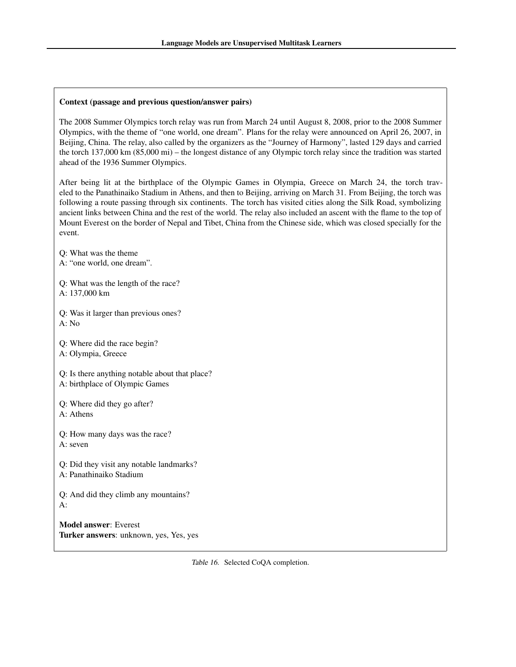# Context (passage and previous question/answer pairs)

The 2008 Summer Olympics torch relay was run from March 24 until August 8, 2008, prior to the 2008 Summer Olympics, with the theme of "one world, one dream". Plans for the relay were announced on April 26, 2007, in Beijing, China. The relay, also called by the organizers as the "Journey of Harmony", lasted 129 days and carried the torch 137,000 km (85,000 mi) – the longest distance of any Olympic torch relay since the tradition was started ahead of the 1936 Summer Olympics.

After being lit at the birthplace of the Olympic Games in Olympia, Greece on March 24, the torch traveled to the Panathinaiko Stadium in Athens, and then to Beijing, arriving on March 31. From Beijing, the torch was following a route passing through six continents. The torch has visited cities along the Silk Road, symbolizing ancient links between China and the rest of the world. The relay also included an ascent with the flame to the top of Mount Everest on the border of Nepal and Tibet, China from the Chinese side, which was closed specially for the event.

Q: What was the theme A: "one world, one dream".

Q: What was the length of the race? A: 137,000 km

Q: Was it larger than previous ones? A: No

Q: Where did the race begin?

A: Olympia, Greece

Q: Is there anything notable about that place? A: birthplace of Olympic Games

Q: Where did they go after? A: Athens

Q: How many days was the race? A: seven

Q: Did they visit any notable landmarks?

A: Panathinaiko Stadium

Q: And did they climb any mountains?  $A$ :

Model answer: Everest Turker answers: unknown, yes, Yes, yes

Table 16. Selected CoQA completion.